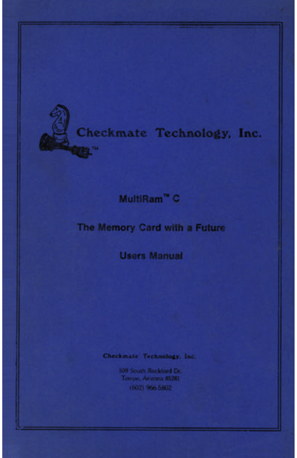

# Checkmate Technology, Inc.

# MultiRam<sup>"</sup> C

# The Memory Card with a Future

# **Users Manual**

### Checkmate Technology, Inc.

509 South Rockford Dr. Tempe, Anzona 85281 (602) 966-5802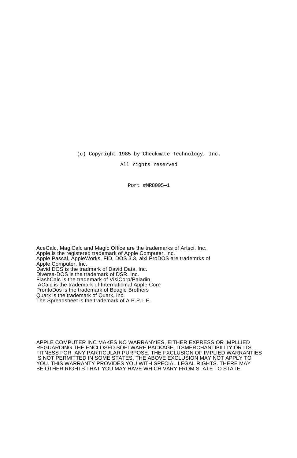(c) Copyright 1985 by Checkmate Technology, Inc.

All rights reserved

Port #MR8005—1

AceCalc, MagiCalc and Magic Office are the trademarks of Artsci. Inc. Apple is the registered trademark of Apple Computer, lnc. Apple Pascal, AppleWorks, FID, DOS 3.3, aixl ProDOS are trademrks of Apple Computer, Inc. David DOS is the tradmark of David Data, Inc. Diversa-DOS is the trademark of DSR. Inc. FlashCalc is the trademark of VisiCorp/Paladin IACalc is the trademark of Internaticmal Apple Core ProntoDos is the trademark of Beagle Brothers Quark is the trademark of Quark, Inc. The Spreadsheet is the trademark of A.P.P.L.E.

APPLE COMPUTER INC MAKES NO WARRANYIES, EITHER EXPRESS OR IMPLLIED REGUARDING THE ENCLOSED SOFTWARE PACKAGE, ITSMERCHANTIBILITY OR ITS FITNESS FOR ANY PARTICULAR PURPOSE. THE FXCLUSION OF IMPLIED WARRANTIES IS NOT PERMITTED IN SOME STATES. THE ABOVE EXCLUSION MAY NOT APPLY TO YOU. THIS WARRANTY PROVIDES YOU WITH SPECIAL LEGAL RIGHTS. THERE MAY BE OTHER RIGHTS THAT YOU MAY HAVE WHICH VARY FROM STATE TO STATE.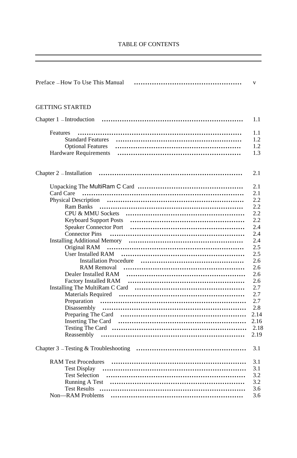| Preface - How To Use This Manual | $\mathbf{V}$ |
|----------------------------------|--------------|
| <b>GETTING STARTED</b>           |              |
| Chapter $1$ -Introduction        | 1.1          |
| Features                         |              |
|                                  | 1.1<br>1.2   |
| <b>Optional Features</b>         | 1.2          |
| Hardware Requirements            | 1.3          |
|                                  |              |
| Chapter 2 – Installation         | 2.1          |
|                                  | 2.1          |
| Card Care                        | 2.1          |
|                                  | 2.2          |
|                                  | 2.2          |
|                                  | 2.2          |
|                                  | 2.2          |
| <b>Speaker Connector Port</b>    | 2.4          |
|                                  | 2.4          |
|                                  | 2.4          |
| Original RAM                     | 2.5          |
| User Installed RAM               | 2.5          |
| <b>Installation Procedure</b>    | 2.6          |
|                                  | 2.6          |
| Dealer Installed RAM             | 2.6          |
|                                  | 2.6          |
|                                  | 2.7          |
|                                  | 2.7          |
|                                  | 2.7          |
|                                  | 2.8          |
|                                  | 2.14         |
|                                  | 2.16         |
|                                  | 2.18         |
|                                  | 2.19         |
|                                  | 3.1          |
| <b>RAM Test Procedures</b>       | 3.1          |
|                                  | 3.1          |
|                                  | 3.2          |
| <b>Running A Test</b>            | 3.2          |
| <b>Test Results</b>              | 3.6          |
| Non-RAM Problems                 | 3.6          |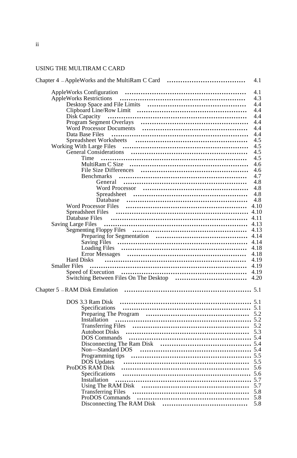## USING THE MULTIRAM C CARD

| Chapter 4 - AppleWorks and the MultiRam C Card                                       | 4.1  |
|--------------------------------------------------------------------------------------|------|
|                                                                                      | 4.1  |
|                                                                                      | 4.3  |
|                                                                                      | 4.4  |
|                                                                                      | 4.4  |
| Disk Capacity                                                                        | 4.4  |
|                                                                                      | 4.4  |
|                                                                                      | 4.4  |
|                                                                                      | 4.4  |
|                                                                                      | 4.5  |
|                                                                                      | 4.5  |
|                                                                                      | 4.5  |
| Time                                                                                 | 4.5  |
|                                                                                      | 4.6  |
|                                                                                      | 4.6  |
| <b>Benchmarks</b>                                                                    | 4.7  |
|                                                                                      | 4.8  |
|                                                                                      | 4.8  |
|                                                                                      | 4.8  |
|                                                                                      | 4.8  |
| Word Processor Files (all intermal continuous contracts in the Word Processor Files) | 4.10 |
| <b>Spreadsheet Files</b>                                                             |      |
| Database Files                                                                       | 4.11 |
| <b>Saving Large Files</b>                                                            | 4.13 |
|                                                                                      |      |
|                                                                                      | 4.14 |
|                                                                                      |      |
|                                                                                      |      |
|                                                                                      | 4.18 |
|                                                                                      |      |
| <b>Hard Disks</b>                                                                    | 4.19 |
| <b>Smaller Files</b>                                                                 |      |
|                                                                                      |      |
|                                                                                      |      |
|                                                                                      |      |
|                                                                                      |      |
| DOS 3.3 Ram Disk                                                                     |      |
|                                                                                      |      |
|                                                                                      |      |
| Installation                                                                         |      |
|                                                                                      |      |
|                                                                                      |      |
|                                                                                      |      |
|                                                                                      |      |
|                                                                                      |      |
|                                                                                      |      |
|                                                                                      |      |
| ProDOS RAM Disk                                                                      |      |
|                                                                                      |      |
| Installation                                                                         |      |
|                                                                                      |      |
|                                                                                      |      |
|                                                                                      |      |
|                                                                                      |      |
|                                                                                      |      |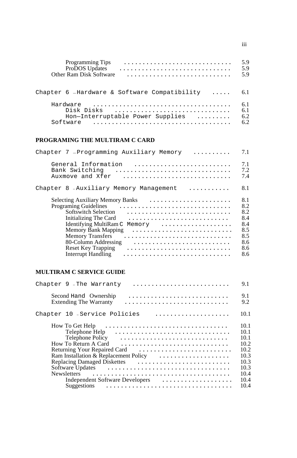| Programming Tips                               | 5.9   |
|------------------------------------------------|-------|
| ProDOS Updates                                 | 5.9   |
| Other Ram Disk Software                        | 59    |
|                                                |       |
| Chapter $6$ -Hardware & Software Compatibility | - 6.1 |
| Hardware                                       | 6.1   |
| Disk Disks                                     | 6.1   |
| Hon-Interruptable Power Supplies               | 6.2   |
| Software                                       | 6.2   |

### **PROGRAMING THE MULTIRAM C CARD**

| Chapter 7 - Programming Auxiliary Memory<br>.                                                                                                                                                                                                  | 7.1                                                                |
|------------------------------------------------------------------------------------------------------------------------------------------------------------------------------------------------------------------------------------------------|--------------------------------------------------------------------|
| General Information<br>Bank Switching<br>Auxmove and Xfer                                                                                                                                                                                      | 7.1<br>7.2<br>7.4                                                  |
| Chapter 8 - Auxiliary Memory Management<br>.                                                                                                                                                                                                   | 8.1                                                                |
| <b>Programing Guidelines</b><br>Softswitch Selection<br>Initializing The Card<br>Identifying MultiRam C<br>Memory<br>Memory Bank Mapping<br><b>Memory Transfers</b><br>80-Column Addressing<br><b>Reset Key Trapping</b><br>Interrupt Handling | 8.1<br>8.2<br>8.2<br>8.4<br>8.4<br>8.5<br>8.5<br>8.6<br>8.6<br>8.6 |

# **MULTIRAM C SERVICE GUIDE**

| Chapter 9 - The Warranty                                                                                                                                        | 9.1                                  |
|-----------------------------------------------------------------------------------------------------------------------------------------------------------------|--------------------------------------|
| Second Hand Ownership<br><b>Extending The Warranty</b>                                                                                                          | 9.1<br>9.2                           |
| Chapter 10 - Service Policies                                                                                                                                   | 10.1                                 |
| How To Get Help $\dots\dots\dots\dots\dots\dots\dots\dots\dots\dots\dots\dots\dots$<br>Telephone Policy<br>How To Return A Card<br>Returning Your Repaired Card | 10.1<br>10.1<br>10.1<br>10.2<br>10.2 |
| Ram Installation & Replacement Policy                                                                                                                           | 10.3<br>10.3<br>10.3                 |
| Independent Software Developers                                                                                                                                 | 10.4<br>10.4<br>10.4                 |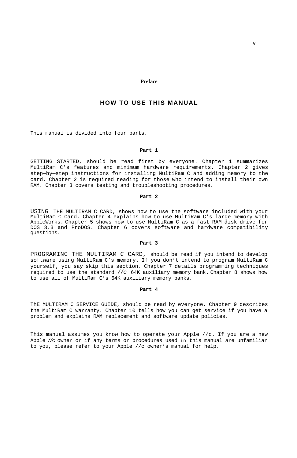#### **Preface**

#### **HOW TO USE THIS MANUAL**

<span id="page-5-0"></span>This manual is divided into four parts.

#### **Part 1**

GETTING STARTED, should be read first by everyone. Chapter 1 summarizes MultiRam C's features and minimum hardware requirements. Chapter 2 gives step—by—step instructions for installing MultiRam C and adding memory to the card. Chapter 2 is required reading for those who intend to install their own RAM. Chapter 3 covers testing and troubleshooting procedures.

#### **Part 2**

USING THE MULTIRAM C CARD, shows how to use the software included with your MultiRam C Card. Chapter 4 explains how to use MultiRam C's large memory with AppleWorks. Chapter 5 shows how to use MultiRam C as a fast RAM disk drive for DOS 3.3 and ProDOS. Chapter 6 covers software and hardware compatibility questions.

#### **Part 3**

PROGRAMING THE MULTIRAM C CARD, should be read if you intend to develop software using MultiRam C's memory. If you don't intend to program MultiRam C yourself, you say skip this section. Chapter 7 details programming techniques required to use the standard //c 64K auxiliary memory bank. Chapter 8 shows how to use all of MultiRam C's 64K auxiliary memory banks.

#### **Part 4**

ThE MULTIRAM C SERVICE GUIDE, should be read by everyone. Chapter 9 describes the MultiRam C warranty. Chapter 10 tells how you can get service if you have a problem and explains RAM replacement and software update policies.

This manual assumes you know how to operate your Apple //c. If you are a new Apple //c owner or if any terms or procedures used in this manual are unfamiliar to you, please refer to your Apple //c owner's manual for help.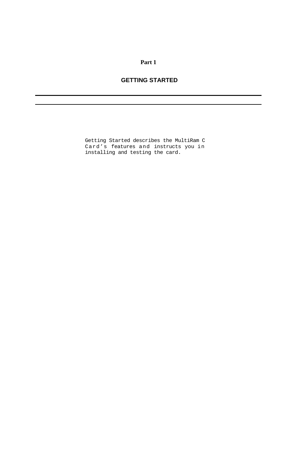### **Part 1**

### **GETTING STARTED**

Getting Started describes the MultiRam C Card's features and instructs you in installing and testing the card.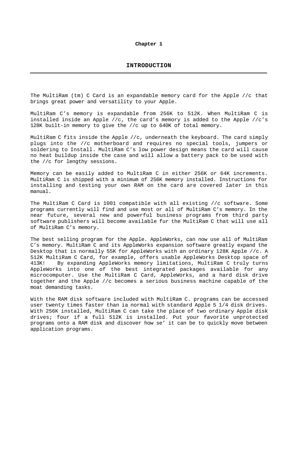#### **Chapter 1**

<span id="page-7-0"></span>The MultiRam (tm) C Card is an expandable memory card for the Apple //c that brings great power and versatility to your Apple.

MultiRam C's memory is expandable from 256K to 512K. When MultiRam C is installed inside an Apple //c, the card's memory is added to the Apple //c's 128K built-in memory to give the //c up to 640K of total memory.

MultiRam C fits inside the Apple //c, underneath the keyboard. The card simply plugs into the //c motherboard and requires no special tools, jumpers or soldering to Install. MultiRam C's low power design means the card will cause no heat buildup inside the case and will allow a battery pack to be used with the //c for lengthy sessions.

Memory can be easily added to MultiRam C in either 256K or 64K increments. MultiRam C is shipped with a minimum of 256K memory installed. Instructions for installing and testing your own RAM on the card are covered later in this manual.

The MultiRam C Card is 1001 compatible with all existing //c software. Some programs currently will find and use most or all of MultiRam C's memory. In the near future, several new and powerful business programs from third party software publishers will become available fur the MultiRam C that will use all of MultiRam C's memory.

The best selling program for the Apple. AppleWorks, can now use all of MultiRam C's memory. MultiRam C and its AppleWorks expansion software greatly expand the Desktop that is normally 55K for AppleWorks with an ordinary 128K Apple //c. A 512K MultiRam C Card, for example, offers usable AppleWorks Desktop space of 413K! By expanding AppleWorks memory limitations, MultiRam C truly turns AppleWorks into one of the best integrated packages available for any microcomputer. Use the MultiRam C Card, AppleWorks, and a hard disk drive together and the Apple //c becomes a serious business machine capable of the moat demanding tasks.

With the RAM disk software included with MultiRam C. programs can be accessed user twenty times faster than ia normal with standard Apple 5 1/4 disk drives. With 256K installed, MultiRam C can take the place of two ordinary Apple disk drives; four if a full 512K is installed. Put your favorite unprotected programs onto a RAM disk and discover how se' it can be to quickly move between application programs.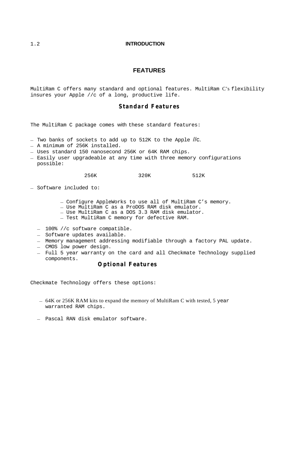#### <span id="page-8-0"></span>1.2 **INTRODUCTION**

#### **FEATURES**

MultiRam C offers many standard and optional features. MultiRam C's flexibility insures your Apple //c of a long, productive life.

#### **Standard Features**

The MultiRam C package comes with these standard features:

- Two banks of sockets to add up to 512K to the Apple //c.
- A minimum of 256K installed.
- Uses standard 150 nanosecond 256K or 64K RAM chips.
- Easily user upgradeable at any time with three memory configurations possible:

256K 320K 512K

- Software included to:
	- Configure AppleWorks to use all of MultiRam C's memory. Use MultiRam C as a ProDOS RAM disk emulator. Use MultiRam C as a DOS 3.3 RAM disk emulator.
	-
	-
	- Test MultiRam C memory for defective RAM.
	- 100% //c software compatible.
	- Software updates available.
	- Memory management addressing modifiable through a factory PAL update.
	- CMOS low power design.
	- Full 5 year warranty on the card and all Checkmate Technology supplied components.

#### **Optional Features**

Checkmate Technology offers these options:

- 64K or 256K RAM kits to expand the memory of MultiRam C with tested, 5 year warranted RAM chips.
- Pascal RAN disk emulator software.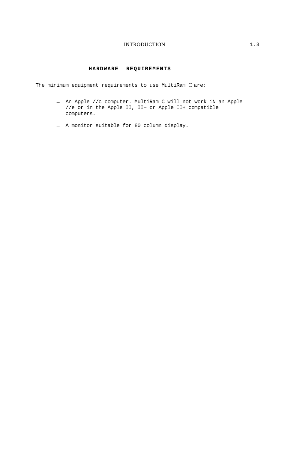#### INTRODUCTION 1.3

#### **HARDWARE REQUIREMENTS**

<span id="page-9-0"></span>The minimum equipment requirements to use MultiRam C are:

- An Apple //c computer. MultiRam C will not work iN an Apple //e or in the Apple II, II+ or Apple II+ compatible computers.
- A monitor suitable for 80 column display.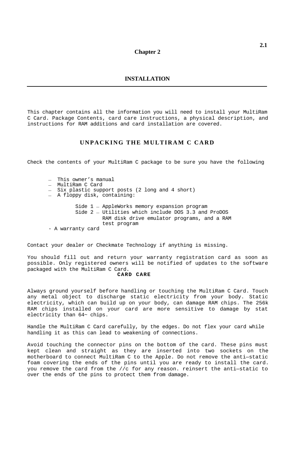#### **Chapter 2**

#### **INSTALLATION**

<span id="page-10-0"></span>This chapter contains all the information you will need to install your MultiRam C Card. Package Contents, card care instructions, a physical description, and instructions for RAM additions and card installation are covered.

### **UNPACKING THE MULTIRAM C CARD**

Check the contents of your MultiRam C package to be sure you have the following

- This owner's manual
- MultiRam C Card
- Six plastic support posts (2 long and 4 short) A floppy disk, containing:
- 

Side 1 — AppleWorks memory expansion program Side 2 — Utilities which include DOS 3.3 and ProDOS RAM disk drive emulator programs, and a RAM test program

- A warranty card

Contact your dealer or Checkmate Technology if anything is missing.

You should fill out and return your warranty registration card as soon as possible. Only registered owners will be notified of updates to the software packaged with the MultiRam C Card. **CARD CARE**

Always ground yourself before handling or touching the MultiRam C Card. Touch any metal object to discharge static electricity from your body. Static electricity, which can build up on your body, can damage RAM chips. The 256k RAM chips installed on your card are more sensitive to damage by stat electricity than 64~ chips.

Handle the MultiRam C Card carefully, by the edges. Do not flex your card while handling it as this can lead to weakening of connections.

Avoid touching the connector pins on the bottom of the card. These pins must kept clean and straight as they are inserted into two sockets on the motherboard to connect MultiRam C to the Apple. Do not remove the anti—static foam covering the ends of the pins until you are ready to install the card. you remove the card from the //c for any reason. reinsert the anti—static to over the ends of the pins to protect them from damage.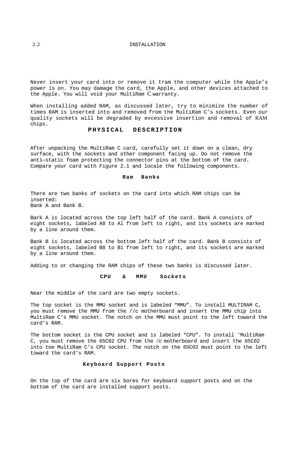#### <span id="page-11-0"></span>2.2 INSTALLATION

Never insert your card into or remove it tram the computer while the Apple's power is on. You may damage the card, the Apple, and other devices attached to the Apple. You will void your MultiRam C warranty.

When installing added RAM, as discussed later, try to minimize the number of times RAM is inserted into and removed from the MultiRam C's sockets. Even our quality sockets will be degraded by excessive insertion and removal of RAM chips.

#### **PHYSICAL DESCRIPTION**

After unpacking the MultiRam C card, carefully set it down on a clean, dry surface, with the sockets and other component facing up. Do not remove the anti—static foam protecting the connector pins at the bottom of the card. Compare your card with Figure 2.1 and locale the following components.

#### **Ram Banks**

There are two banks of sockets on the card into which RAM chips can be inserted: Bank A and Bank B.

Bark A is located across the top left half of the card. Bank A consists of eight sockets, labeled A8 to Al from left to right, and its sockets are marked by a line around them.

Bank B is located across the bottom left half of the card. Bank B consists of eight sockets, labeled B8 to B1 from left to right, and its sockets are marked by a line around them.

Adding to or changing the RAM chips of these two banks is discussed later.

#### **CPU & MMU Sockets**

Near the middle of the card are two empty sockets.

The top socket is the MMU socket and is labeled "MMU". To install MULTIRAM C, you must remove the MMU from the //c motherboard and insert the MMU chip into MultiRam C's MMU socket. The notch on the MMU must point to the left toward the card's RAM.

The bottom socket is the CPU socket and is labeled "CPU". To install 'MultiRam C, you must remove the 65C02 CPU from the //*c* motherboard and insert the 65C02 into toe MultiRam C's CPU socket. The notch on the 65C02 must point to the left toward the card's RAM.

#### **Keyboard Support Posts**

On the top of the card are six bores for keyboard support posts and on the bottom of the card are installed support posts.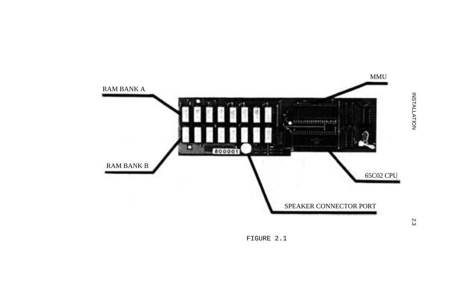

FIGURE 2.1

2.3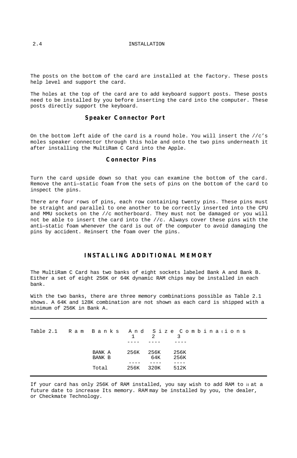#### 2.4 INSTALLATION

The posts on the bottom of the card are installed at the factory. These posts help level and support the card.

The holes at the top of the card are to add keyboard support posts. These posts need to be installed by you before inserting the card into the computer. These posts directly support the keyboard.

#### **Speaker Connector Port**

On the bottom left aide of the card is a round hole. You will insert the  $//c's$ moles speaker connector through this hole and onto the two pins underneath it after installing the MultiRam C Card into the Apple.

#### **Connector Pins**

Turn the card upside down so that you can examine the bottom of the card. Remove the anti—static foam from the sets of pins on the bottom of the card to inspect the pins.

There are four rows of pins, each row containing twenty pins. These pins must be straight and parallel to one another to be correctly inserted into the CPU and MMU sockets on the //c motherboard. They must not be damaged or you will not be able to insert the card into the //c*.* Always cover these pins with the anti—static foam whenever the card is out of the computer to avoid damaging the pins by accident. Reinsert the foam over the pins.

#### **INSTALLING ADDITIONAL MEMORY**

The MultiRam C Card has two banks of eight sockets labeled Bank A and Bank B. Either a set of eight 256K or 64K dynamic RAM chips may be installed in each bank.

With the two banks, there are three memory combinations possible as Table 2.1 shows. A 64K and 128K combination are not shown as each card is shipped with a minimum of 256K in Bank A.

| Table 2.1 Ram Banks And Size Combinations |                  | $1 \quad \cdots$ | $\overline{2}$ | $\sim$ 2     |  |
|-------------------------------------------|------------------|------------------|----------------|--------------|--|
|                                           | BANK A<br>BANK B | 256K 256K        | 64K            | 256K<br>256K |  |
|                                           | Total 256K 320K  |                  |                | 512K         |  |

If your card has only 256K of RAM installed, you say wish to add RAM to it at a future date to increase Its memory. RAM may be installed by you, the dealer, or Checkmate Technology.

<span id="page-13-0"></span>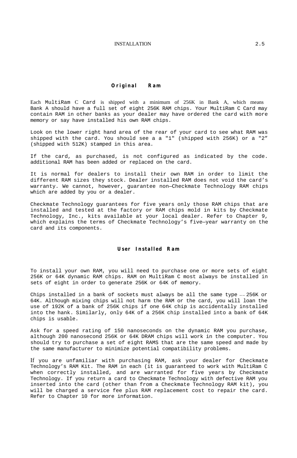#### INSTALLATION 2.5

#### **Original Ram**

<span id="page-14-0"></span>Each MultiRam C Card is shipped with a minimum of 256K in Bank A, which means Bank A should have a full set of eight 256K RAM chips. Your MultiRam C Card may contain RAM in other banks as your dealer may have ordered the card with more memory or say have installed his own RAM chips.

Look on the lower right hand area of the rear of your card to see what RAM was shipped with the card. You should see a a "1" (shipped with 256K) or a "2" (shipped with 512K) stamped in this area.

If the card, as purchased, is not configured as indicated by the code. additional RAM has been added or replaced on the card.

It is normal for dealers to install their own RAM in order to limit the different RAM sizes they stock. Dealer installed RAM does not void the card's warranty. We cannot, however, guarantee non—Checkmate Technology RAM chips which are added by you or a dealer.

Checkmate Technology guarantees for five years only those RAM chips that are installed and tested at the factory or RAM chips mold in kits by Checkmate Technology, Inc., kits available at your local dealer. Refer to Chapter 9, which explains the terms of Checkmate Technology's five—year warranty on the card and its components.

#### **User Installed Ram**

To install your own RAM, you will need to purchase one or more sets of eight 256K or 64K dynamic RAM chips. RAM on MultiRam C most always be installed in sets of eight in order to generate 256K or 64K of memory.

Chips installed in a bank of sockets must always be all the same type —— 256K or 64K. Although mixing chips will not harm the RAM or the card, you will loan the use of 192K of a bank of 256K chips if one 64K chip is accidentally installed into the hank. Similarly, only 64K of a 256K chip installed into a bank of 64K chips is usable.

Ask for a speed rating of 150 nanoseconds on the dynamic RAM you purchase, although 200 nanosecond 256K or 64K DRAM chips will work in the computer. You should try to purchase a set of eight RAMS that are the same speed and made by the same manufacturer to minimize potential compatibility problems.

If you are unfamiliar with purchasing RAM, ask your dealer for Checkmate Technology's RAM Kit. The RAM in each (it is guaranteed to work with MultiRam C when correctly installed, and are warranted for five years by Checkmate Technology. If you return a card to Checkmate Technology with defective RAM you inserted into the card (other than from a Checkmate Technology RAM kit), you will be charged a service fee plus RAM replacement cost to repair the card. Refer to Chapter 10 for more information.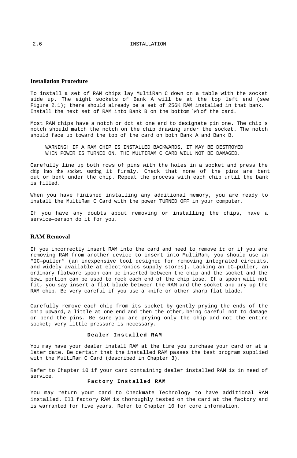#### <span id="page-15-0"></span>**Installation Procedure**

To install a set of RAM chips lay MultiRam C down on a table with the socket side up. The eight sockets of Bank A will be at the top left end (see Figure  $2.1$ ); there should already be a set of 256K RAM installed in that bank. Install the next set of RAM into Bank B on the bottom left of the card.

Most RAM chips have a notch or dot at one end to designate pin one. The chip's notch should match the notch on the chip drawing under the socket. The notch should face up toward the top of the card on both Bank A and Bank B.

WARNING! IF A RAM CHIP IS INSTALLED BACKWARDS, IT MAY BE DESTROYED WHEN POWER IS TURNED ON. THE MULTIRAM C CARD WILL NOT BE DAMAGED.

Carefully line up both rows of pins with the holes in a socket and press the chip into the socket. seating it firmly. Check that none of the pins are bent out or bent under the chip. Repeat the process with each chip until the bank is filled.

When you have finished installing any additional memory, you are ready to install the MultiRam C Card with the power TURNED OFF in your computer.

If you have any doubts about removing or installing the chips, have a service—person do it for you.

#### **RAM Removal**

If you incorrectly insert RAM into the card and need to remove it or if you are removing RAM from another device to insert into MultiRam, you should use an "IC—puller" (an inexpensive tool designed for removing integrated circuits. and widely available at electronics supply stores). Lacking an IC—puller, an ordinary flatware spoon can be inserted between the chip and the socket and the bowl portion can be used to rock each end of the chip lose. If a spoon will not fit, you say insert a flat blade between the RAM and the socket and pry up the RAM chip. Be very careful if you use a knife or other sharp flat blade.

Carefully remove each chip from its socket by gently prying the ends of the chip upward, a little at one end and then the other, being careful not to damage or bend the pins. Be sure you are prying only the chip and not the entire socket; very little pressure is necessary.

#### **Dealer Installed RAM**

You may have your dealer install RAM at the time you purchase your card or at a later date. Be certain that the installed RAM passes the test program supplied with the MultiRam C Card (described in Chapter 3).

Refer to Chapter 10 if your card containing dealer installed RAM is in need of service.

#### **Factory Installed RAM**

You may return your card to Checkmate Technology to have additional RAM installed. Ill factory RAM is thoroughly tested on the card at the factory and is warranted for five years. Refer to Chapter 10 for core information.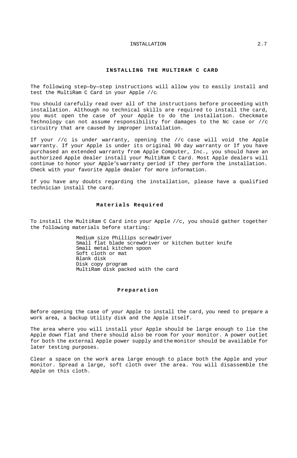#### INSTALLATION 2.7

#### **INSTALLING THE MULTIRAM C CARD**

<span id="page-16-0"></span>The following step—by—step instructions will allow you to easily install and test the MultiRam C Card in your Apple //c.

You should carefully read over all of the instructions before proceeding with installation. Although no technical skills are required to install the card, you must open the case of your Apple to do the installation. Checkmate Technology can not assume responsibility for damages to the Nc case or //c circuitry that are caused by improper installation.

If your //c is under warranty, opening the //c case will void the Apple warranty. If your Apple is under its original 90 day warranty or If you have purchased an extended warranty from Apple Computer, Inc., you should have an authorized Apple dealer install your MultiRam C Card. Most Apple dealers will continue to honor your Apple's warranty period if they perform the installation. Check with your favorite Apple dealer for more information.

If you have any doubts regarding the installation, please have a qualified technician install the card.

#### **Materials Required**

To install the MultiRam C Card into your Apple //c, you should gather together the following materials before starting:

> Medium size Phillips screwdriver Small flat blade screwdriver or kitchen butter knife Small metal kitchen spoon Soft cloth or mat Blank disk Disk copy program MultiRam disk packed with the card

#### **Preparation**

Before opening the case of your Apple to install the card, you need to prepare a work area, a backup Utility disk and the Apple itself.

The area where you will install your Apple should be large enough to lie the Apple down flat and there should also be room for your monitor. A power outlet for both the external Apple power supply and the monitor should be available for later testing purposes.

Clear a space on the work area large enough to place both the Apple and your monitor. Spread a large, soft cloth over the area. You will disassemble the Apple on this cloth.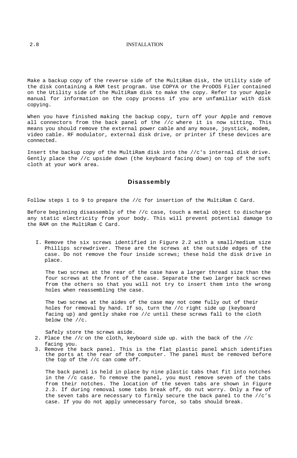#### <span id="page-17-0"></span>2.8 INSTALLATION

Make a backup copy of the reverse side of the MultiRam disk, the Utility side of the disk containing a RAM test program. Use COPYA or the ProDOS Filer contained on the Utility side of the MultiRam disk to make the copy. Refer to your Apple manual for information on the copy process if you are unfamiliar with disk copying.

When you have finished making the backup copy, turn off your Apple and remove all connectors from the back panel of the //*c* where it is now sitting. This means you should remove the external power cable and any mouse, joystick, modem, video cable. RF modulator, external disk drive, or printer if these devices are connected.

Insert the backup copy of the MultiRam disk into the //c's internal disk drive. Gently place the //c upside down (the keyboard facing down) on top of the soft cloth at your work area.

#### **Disassembly**

Follow steps 1 to 9 to prepare the //c for insertion of the MultiRam C Card.

Before beginning disassembly of the //c case, touch a metal object to discharge any static electricity from your body. This will prevent potential damage to the RAM on the MultiRam C Card.

I. Remove the six screws identified in Figure 2.2 with a small/medium size Phillips screwdriver. These are the screws at the outside edges of the case. Do not remove the four inside screws; these hold the disk drive in place.

The two screws at the rear of the case have a larger thread size than the four screws at the front of the case. Separate the two larger back screws from the others so that you will not try to insert them into the wrong holes when reassembling the case.

The two screws at the aides of the case may not come fully out of their holes for removal by hand. If so, turn the //c right side up (keyboard facing up) and gently shake roe //*c* until these screws fall to the cloth below the //c.

Safely store the screws aside.

- 2. Place the  $//C$  on the cloth, keyboard side up. with the back of the  $//C$ facing you.
- 3. Remove the back panel. This is the flat plastic panel which identifies the ports at the rear of the computer. The panel must be removed before the top of the //c can come off.

The back panel is held in place by nine plastic tabs that fit into notches in the //c case. To remove the panel, you must remove seven of the tabs from their notches. The location of the seven tabs are shown in Figure 2.3. If during removal some tabs break off, do nut worry. Only a few of the seven tabs are necessary to firmly secure the back panel to the //c's case. If you do not apply unnecessary force, so tabs should break.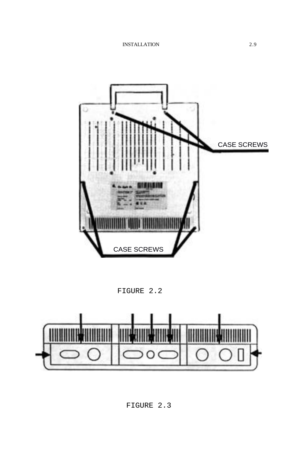

FIGURE 2.2

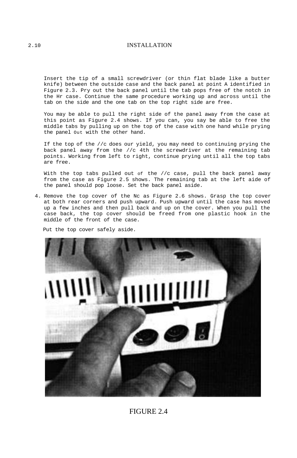#### 2.10 INSTALLATION

Insert the tip of a small screwdriver (or thin flat blade like a butter knife) between the outside case and the back panel at point A identified in Figure 2.3. Pry out the back panel until the tab pops free of the notch in the Hr case. Continue the same procedure working up and across until the tab on the side and the one tab on the top right side are free.

You may be able to pull the right side of the panel away from the case at this point as Figure 2.4 shows. If you can, you say be able to free the middle tabs by pulling up on the top of the case with one hand while prying the panel Out with the other hand.

If the top of the //c does our yield, you may need to continuing prying the back panel away from the //c 4th the screwdriver at the remaining tab points. Working from left to right, continue prying until all the top tabs are free.

With the top tabs pulled out of the //c case, pull the back panel away from the case as Figure 2.5 shows. The remaining tab at the left aide of the panel should pop loose. Set the back panel aside.

4. Remove the top cover of the Nc as Figure 2.6 shows. Grasp the top cover at both rear corners and push upward. Push upward until the case has moved up a few inches and then pull back and up on the cover. When you pull the case back, the top cover should be freed from one plastic hook in the middle of the front of the case.

Put the top cover safely aside.



FIGURE 2.4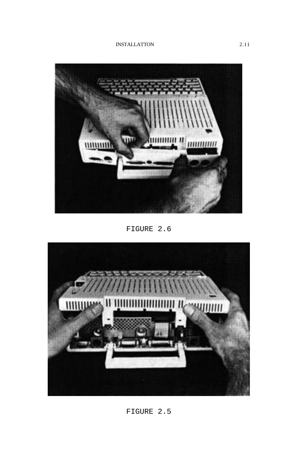INSTALLATTON 2.11



FIGURE 2.6

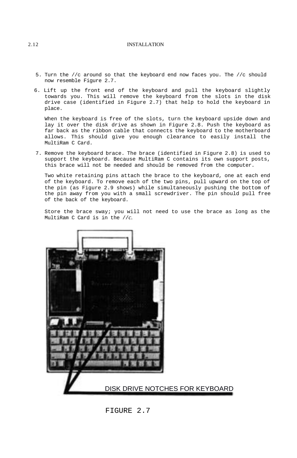#### 2.12 INSTALLATION

- 5. Turn the //c around so that the keyboard end now faces you. The //c should now resemble Figure 2.7.
- 6. Lift up the front end of the keyboard and pull the keyboard slightly towards you. This will remove the keyboard from the slots in the disk drive case (identified in Figure 2.7) that help to hold the keyboard in place.

When the keyboard is free of the slots, turn the keyboard upside down and lay it over the disk drive as shown in Figure 2.8. Push the keyboard as far back as the ribbon cable that connects the keyboard to the motherboard allows. This should give you enough clearance to easily install the MultiRam C Card.

7. Remove the keyboard brace. The brace (identified in Figure 2.8) is used to support the keyboard. Because MultiRam C contains its own support posts, this brace will not be needed and should be removed from the computer.

Two white retaining pins attach the brace to the keyboard, one at each end of the keyboard. To remove each of the two pins, pull upward on the top of the pin (as Figure 2.9 shows) while simultaneously pushing the bottom of the pin away from you with a small screwdriver. The pin should pull free of the back of the keyboard.

Store the brace sway; you will not need to use the brace as long as the MultiRam C Card is in the //*c.*



FIGURE 2.7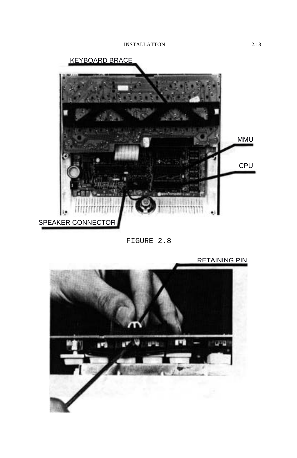

FIGURE 2.8

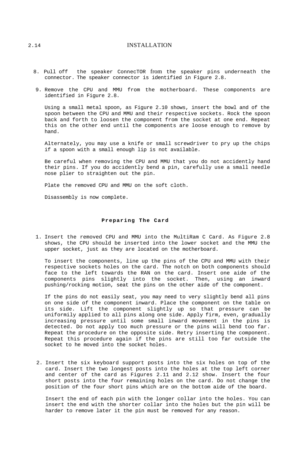#### <span id="page-23-0"></span>2.14 INSTALLATION

- 8. Pull off the speaker ConnecTOR from the speaker pins underneath the connector. The speaker connector is identified in Figure 2.8.
- 9. Remove the CPU and MMU from the motherboard. These components are identified in Figure 2.8.

Using a small metal spoon, as Figure 2.10 shows, insert the bowl and of the spoon between the CPU and MMU and their respective sockets. Rock the spoon back and forth to loosen the component from the socket at one end. Repeat this on the other end until the components are loose enough to remove by hand.

Alternately, you may use a knife or small screwdriver to pry up the chips if a spoon with a small enough lip is not available.

Be careful when removing the CPU and MMU that you do not accidently hand their pins. If you do accidently bend a pin, carefully use a small needle nose plier to straighten out the pin.

Plate the removed CPU and MMU on the soft cloth.

Disassembly is now complete.

#### **Preparing The Card**

1. Insert the removed CPU and MMU into the MultiRam C Card. As Figure 2.8 shows, the CPU should be inserted into the lower socket and the MMU the upper socket, just as they are located on the motherboard.

To insert the components, line up the pins of the CPU and MMU with their respective sockets holes on the card. The notch on both components should face to the left towards the RAN on the card. Insert one aide of the components pins slightly into the socket. Then, using an inward pushing/rocking motion, seat the pins on the other aide of the component.

If the pins do not easily seat, you may need to very slightly bend all pins on one side of the component inward. Place the component on the table on its side. Lift the component slightly up so that pressure can be uniformily applied to all pins along one side. Apply firm, even, gradually increasing pressure until some small inward movement in the pins is detected. Do not apply too much pressure or the pins will bend too far. Repeat the procedure on the opposite side. Retry inserting the component. Repeat this procedure again if the pins are still too far outside the socket to he moved into the socket holes.

2. Insert the six keyboard support posts into the six holes on top of the card. Insert the two longest posts into the holes at the top left corner and center of the card as Figures 2.11 and 2.12 show. Insert the four short posts into the four remaining holes on the card. Do not change the position of the four short pins which are on the bottom aide of the board.

Insert the end of each pin with the longer collar into the holes. You can insert the end with the shorter collar into the holes but the pin will be harder to remove later it the pin must be removed for any reason.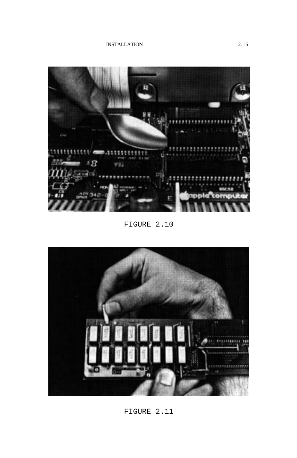INSTALLATION 2.15



FIGURE 2.10



FIGURE 2.11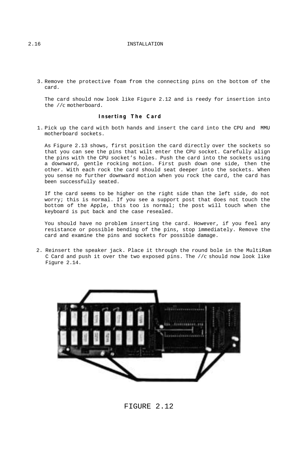<span id="page-25-0"></span>3. Remove the protective foam from the connecting pins on the bottom of the card.

The card should now look like Figure 2.12 and is reedy for insertion into the //c motherboard.

#### **Inserting The Card**

1. Pick up the card with both hands and insert the card into the CPU and MMU motherboard sockets.

As Figure 2.13 shows, first position the card directly over the sockets so that you can see the pins that wilt enter the CPU socket. Carefully align the pins with the CPU socket's holes. Push the card into the sockets using a downward, gentle rocking motion. First push down one side, then the other. With each rock the card should seat deeper into the sockets. When you sense no further downward motion when you rock the card, the card has been successfully seated.

If the card seems to be higher on the right side than the left side, do not worry; this is normal. If you see a support post that does not touch the bottom of the Apple, this too is normal; the post will touch when the keyboard is put back and the case resealed.

You should have no problem inserting the card. However, if you feel any resistance or possible bending of the pins, stop immediately. Remove the card and examine the pins and sockets for possible damage.

2. Reinsert the speaker jack. Place it through the round bole in the MultiRam C Card and push it over the two exposed pins. The //c should now look like Figure 2.14.



FIGURE 2.12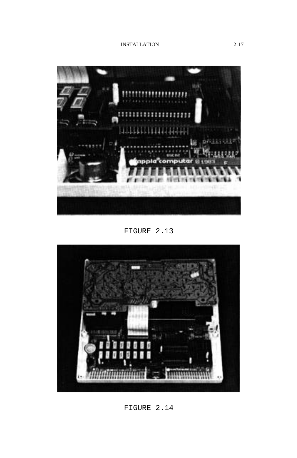

FIGURE 2.13



FIGURE 2.14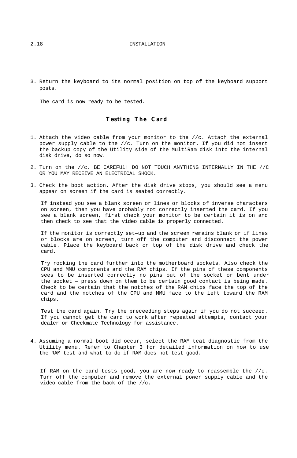#### <span id="page-27-0"></span>2.18 INSTALLATION

3. Return the keyboard to its normal position on top of the keyboard support posts.

The card is now ready to be tested.

#### **Testing The Card**

- 1. Attach the video cable from your monitor to the //c. Attach the external power supply cable to the //c. Turn on the monitor. If you did not insert the backup copy of the Utility side of the MultiRam disk into the internal disk drive, do so now.
- 2. Turn on the //c. BE CAREFUl! DO NOT TOUCH ANYTHING INTERNALLY IN THE //C OR YOU MAY RECEIVE AN ELECTRICAL SHOCK.
- 3. Check the boot action. After the disk drive stops, you should see a menu appear on screen if the card is seated correctly.

If instead you see a blank screen or lines or blocks of inverse characters on screen, then you have probably not correctly inserted the card. If you see a blank screen, first check your monitor to be certain it is on and then check to see that the video cable is properly connected.

If the monitor is correctly set—up and the screen remains blank or if lines or blocks are on screen, turn off the computer and disconnect the power cable. Place the keyboard back on top of the disk drive and check the card.

Try rocking the card further into the motherboard sockets. Also check the CPU and MMU components and the RAM chips. If the pins of these components sees to be inserted correctly no pins out of the socket or bent under the socket — press down on them to be certain good contact is being made. Check to be certain that the notches of the RAM chips face the top of the card and the notches of the CPU and MMU face to the left toward the RAM chips.

Test the card again. Try the preceeding steps again if you do not succeed. If you cannot get the card to work after repeated attempts, contact your dealer or Checkmate Technology for assistance.

4. Assuming a normal boot did occur, select the RAM teat diagnostic from the Utility menu. Refer to Chapter 3 for detailed information on how to use the RAM test and what to do if RAM does not test good.

If RAM on the card tests good, you are now ready to reassemble the //c. Turn off the computer and remove the external power supply cable and the video cable from the back of the //c.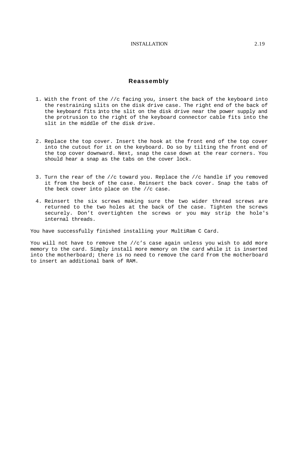#### **Reassembly**

- <span id="page-28-0"></span>1. With the front of the //c facing you, insert the back of the keyboard into the restraining slits on the disk drive case. The right end of the back of the keyboard fits into the slit on the disk drive near the power supply and the protrusion to the right of the keyboard connector cable fits into the slit in the middle of the disk drive.
- 2. Replace the top cover. Insert the hook at the front end of the top cover into the cutout for it on the keyboard. Do so by tilting the front end of the top cover downward. Next, snap the case down at the rear corners. You should hear a snap as the tabs on the cover lock.
- 3. Turn the rear of the //c toward you. Replace the //c handle if you removed it from the beck of the case. Reinsert the back cover. Snap the tabs of the beck cover into place on the //c case.
- 4. Reinsert the six screws making sure the two wider thread screws are returned to the two holes at the back of the case. Tighten the screws securely. Don't overtighten the screws or you may strip the hole's internal threads.

You have successfully finished installing your MultiRam C Card.

You will not have to remove the //c's case again unless you wish to add more memory to the card. Simply install more memory on the card while it is inserted into the motherboard; there is no need to remove the card from the motherboard to insert an additional bank of RAM.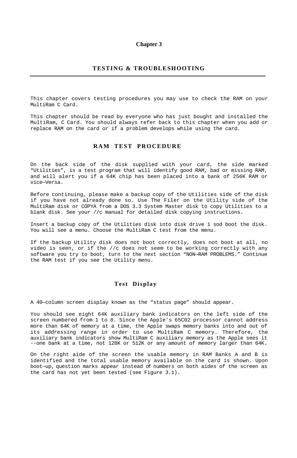#### **Chapter 3**

#### **TESTING & TROUBLESHOOTING**

<span id="page-29-0"></span>This chapter covers testing procedures you may use to check the RAM on your MultiRam C Card.

This chapter should be read by everyone who has just bought and installed the MultiRam, C Card. You should always refer back to this chapter when you add or replace RAM on the card or if a problem develops while using the card.

#### **RAM TEST PROCEDURE**

On the back side of the disk supplied with your card, the side marked "Utilities", is a test program that will identify good RAM, bad or missing RAM, and will alert you if a 64K chip has been placed into a bank of 256K RAM or vice—Versa.

Before continuing, please make a backup copy of the Utilities side of the disk if you have not already done so. Use The Filer on the Utility side of the MultiRam disk or COPYA from a DOS 3.3 System Master disk to copy Utilities to a blank disk. See your //c manual for detailed disk copying instructions.

Insert a backup copy of the Utilities disk into disk drive 1 sod boot the disk. You will see a menu. Choose the MultiRam C test from the menu.

If the backup Utility disk does not boot correctly, does not boot at all, no video is seen, or if the //c does not seem to be working correctly with any software you try to boot, turn to the next section "NON—RAM PROBLEMS." Continue the RAM test if you see the Utility menu.

#### **Test Display**

A 40—column screen display known as the "status page" should appear.

You should see eight 64K auxiliary bank indicators on the left side of the screen numbered from 1 to 8. Since the Apple's 65C02 processor cannot address more than 64K of memory at a time, the Apple swaps memory banks into and out of its addressing range in order to use MultiRam C memory. Therefore, the auxiliary bank indicators show MultiRam C auxiliary memory as the Apple sees it --one bank at a time, not 128K or 512K or any amount of memory larger than 64K.

On the right aide of the screen the usable memory in RAM Banks A and B is identified and the total usable memory available on the card is shown. Upon boot—up, question marks appear instead of numbers on both aides of the screen as the card has not yet been tested (see Figure 3.1).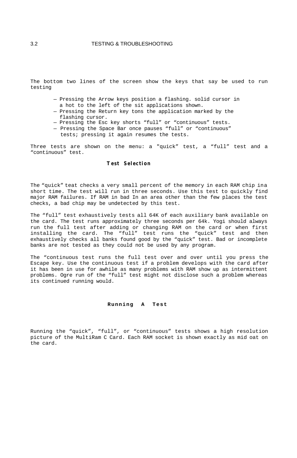#### <span id="page-30-0"></span>3.2 TESTING & TROUBLESHOOTING

The bottom two lines of the screen show the keys that say be used to run testing

- Pressing the Arrow keys position a flashing. solid cursor in
- a hot to the left of the sit applications shown.
- Pressing the Return key tons the application marked by the flashing cursor.
- Pressing the Esc key shorts "full" or "continuous" tests.
- Pressing the Space Bar once pauses "full" or "continuous"
	- tests; pressing it again resumes the tests.

Three tests are shown on the menu: a "quick" test, a "full" test and a "continuous" test.

#### **Test Selection**

The "quick" teat checks a very small percent of the memory in each RAM chip ina short time. The test will run in three seconds. Use this test to quickly find major RAM failures. If RAM in bad In an area other than the few places the test checks, a bad chip may be undetected by this test.

The "full" test exhaustively tests all 64K of each auxiliary bank available on the card. The test runs approximately three seconds per 64k. Yogi should always run the full test after adding or changing RAM on the card or when first installing the card. The "full" test runs the "quick" test and then exhaustively checks all banks found good by the "quick" test. Bad or incomplete banks are not tested as they could not be used by any program.

The "continuous test runs the full test over and over until you press the Escape key. Use the continuous test if a problem develops with the card after it has been in use for awhile as many problems with RAM show up as intermittent problems. Ogre run of the "full" test might not disclose such a problem whereas its continued running would.

#### **Running A Test**

Running the "quick", "full", or "continuous" tests shows a high resolution picture of the MultiRam C Card. Each RAM socket is shown exactly as mid oat on the card.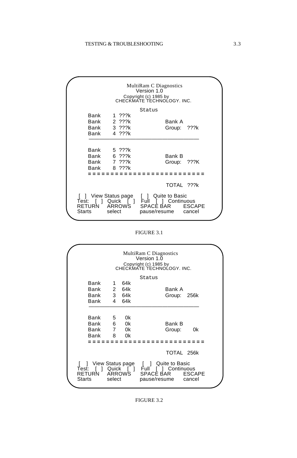

#### FIGURE 3.1

| MultiRam C Diagnostics<br>Version 1.0<br>Copyright (c) 1985 by<br>CHECKMATE TECHNOLOGY, INC. |                                                 |                     |                         |                                                                                                                                         |  |
|----------------------------------------------------------------------------------------------|-------------------------------------------------|---------------------|-------------------------|-----------------------------------------------------------------------------------------------------------------------------------------|--|
|                                                                                              | Bank<br>Bank<br>Bank 3 64k<br>Bank              |                     | 1 64k<br>2 64k<br>4 64k | Status<br>Bank A<br>Group: 256k                                                                                                         |  |
|                                                                                              | Bank<br>Bank 6<br>Bank 7 0k<br>Bank             | $5^{\circ}$<br>8 Ok | 0k<br>0k                | Bank B<br>0k<br>Group:                                                                                                                  |  |
|                                                                                              | [ ] View Status page<br><b>RETURN</b><br>Starts | select              |                         | TOTAL 256k<br>[ ] Quite to Basic<br>Test: [ ] Quick [ ] Full [ ] Continuous<br>ARROWS SPACE BAR<br><b>ESCAPE</b><br>pause/resume cancel |  |

#### FIGURE 3.2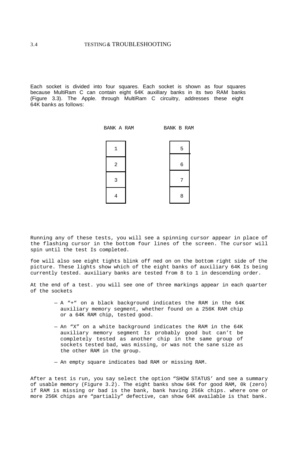Each socket is divided into four squares. Each socket is shown as four squares because MultiRam C can contain eight 64K auxilIary banks in its two RAM banks (Figure 3.3). The Apple. through MultiRam C circuitry, addresses these eight 64K banks as follows:

BANK A RAM BANK B RAM



Running any of these tests, you will see a spinning cursor appear in place of the flashing cursor in the bottom four lines of the screen. The cursor will spin until the test Is completed.

foe will also see eight tights blink off ned on on the bottom right side of the picture. These lights show which of the eight banks of auxiliary 64K Is being currently tested. auxiliary banks are tested from 8 to 1 in descending order.

At the end of a test. you will see one of three markings appear in each quarter of the sockets

- A "+" on a black background indicates the RAM in the 64K auxiliary memory segment, whether found on a 256K RAM chip or a 64K RAM chip, tested good.
- An "X" on a white background indicates the RAM in the 64K auxiliary memory segment Is probably good but can't be completely tested as another chip in the same group of sockets tested bad, was missing, or was not the sane size as the other RAM in the group.
- An empty square indicates bad RAM or missing RAM.

After a test is run, you say select the option "SHOW STATUS' and see a summary of usable memory (Figure 3.2). The eight banks show 64K for good RAM, 0k (zero) if RAM is missing or bad is the bank, bank having 256k chips. where one or more 256K chips are "partially" defective, can show 64K available is that bank.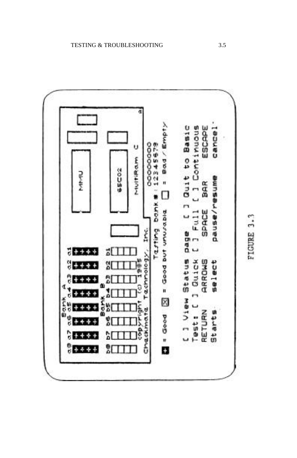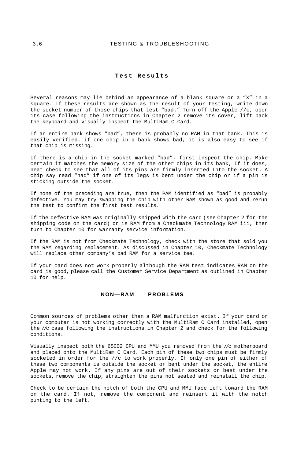#### <span id="page-34-0"></span>3.6 TESTING & TROUBLESHOOTING

#### **Test Results**

Several reasons may lie behind an appearance of a blank square or a "X" in a square. If these results are shown as the result of your testing, write down the socket number of those chips that test "bad." Turn off the Apple //c, open its case following the instructions in Chapter 2 remove its cover, lift back the keyboard and visually inspect the MultiRam C Card.

If an entire bank shows "bad", there is probably no RAM in that bank. This is easily verified. if one chip in a bank shows bad, it is also easy to see if that chip is missing.

If there is a chip in the socket marked "bad", first inspect the chip. Make certain it matches the memory size of the other chips in its bank, If it does, neat check to see that all of its pins are firmly inserted Into the socket. A chip say read "had" if one of its legs is bent under the chip or if a pin is sticking outside the socket.

If none of the preceding are true, then the PAM identified as "bad" is probably defective. You may try swapping the chip with other RAM shown as good and rerun the test to confirm the first test results.

If the defective RAM was originally shipped with the card (see Chapter 2 for the shipping code on the card) or is RAM from a Checkmate Technology RAM iii, then turn to Chapter 10 for warranty service information.

If the RAM is not from Checkmate Technology, check with the store that sold you the RAM regarding replacement. As discussed in Chapter 10, Checkmate Technology will replace other company's bad RAM for a service tee.

If your card does not work properly although the RAM test indicates RAM on the card is good, please call the Customer Service Department as outlined in Chapter 10 for help.

#### **NON—RAM PROBLEMS**

Common sources of problems other than a RAM malfunction exist. If your card or your computer is not working correctly with the MultiRam C Card installed, open the //c case following the instructions in Chapter 2 and check for the following conditions.

Visually inspect both the 65C02 CPU and MMU you removed from the //c motherboard and placed onto the MultiRam C Card. Each pin of these two chips must be firmly socketed in order for the //c to work properly. If only one pin of either of these two components is outside the socket or bent under the socket, the entire Apple may not work. If any pins are out of their sockets or best under the sockets, remove the chip, straighten the pins not seated and reinstall the chip.

Check to be certain the notch of both the CPU and MMU face left toward the RAM on the card. If not, remove the component and reinsert it with the notch punting to the left.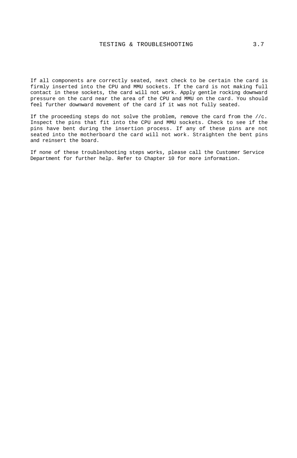If all components are correctly seated, next check to be certain the card is firmly inserted into the CPU and MMU sockets. If the card is not making full contact in these sockets, the card will not work. Apply gentle rocking downward pressure on the card near the area of the CPU and MMU on the card. You should feel further downward movement of the card if it was not fully seated.

If the proceeding steps do not solve the problem, remove the card from the //c. Inspect the pins that fit into the CPU and MMU sockets. Check to see if the pins have bent during the insertion process. If any of these pins are not seated into the motherboard the card will not work. Straighten the bent pins and reinsert the board.

If none of these troubleshooting steps works, please call the Customer Service Department for further help. Refer to Chapter 10 for more information.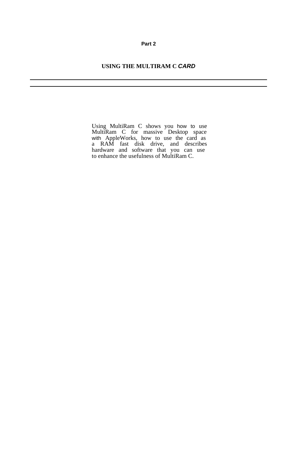## **Part 2**

## **USING THE MULTIRAM C** *CARD*

Using MultiRam C shows you how to use MultiRam C for massive Desktop space with AppleWorks, how to use the card as a RAM fast disk drive, and describes hardware and software that you can use to enhance the usefulness of MultiRam C.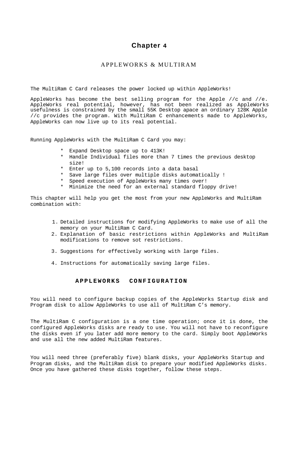## **Chapter 4**

## APPLEWORKS & MULTIRAM

The MultiRam C Card releases the power locked up within AppleWorks!

AppleWorks has become the best selling program for the Apple //c and //e. AppleWorks real potential, however, has not been realized as AppleWorks usefulness is constrained by the small 55K Desktop apace an ordinary 128K Apple //c provides the program. With MultiRam C enhancements made to AppleWorks, AppleWorks can now live up to its real potential.

Running AppleWorks with the MultiRam C Card you may:

- \* Expand Desktop space up to 413K!
- \* Handle Individual files more than 7 times the previous desktop size!
- \* Enter up to 5,100 records into a data basal
- \* Save large files over multiple disks automatically !
- \* Speed execution of AppleWorks many times over!
- \* Minimize the need for an external standard floppy drive!

This chapter will help you get the most from your new AppleWorks and MultiRam combination with:

- 1. Detailed instructions for modifying AppleWorks to make use of all the memory on your MultiRam C Card.
- 2. Explanation of basic restrictions within AppleWorks and MultiRam modifications to remove sot restrictions.
- 3. Suggestions for effectively working with large files.
- 4. Instructions for automatically saving large files.

## **APPLEWORKS CONFIGURATION**

You will need to configure backup copies of the AppleWorks Startup disk and Program disk to allow AppleWorks to use all of MultiRam C's memory.

The MultiRam C configuration is a one time operation; once it is done, the configured AppleWorks disks are ready to use. You will not have to reconfigure the disks even if you later add more memory to the card. Simply boot AppleWorks and use all the new added MultiRam features.

You will need three (preferably five) blank disks, your AppleWorks Startup and Program disks, and the MultiRam disk to prepare your modified AppleWorks disks. Once you have gathered these disks together, follow these steps.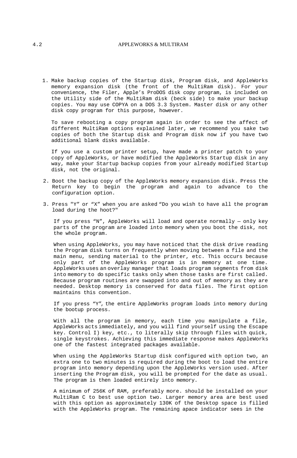## 4.2 APPLEWORKS & MULTIRAM

1. Make backup copies of the Startup disk, Program disk, and AppleWorks memory expansion disk (the front of the MultiRam disk). For your convenience, the Filer, Apple's ProDOS disk copy program, is included on the Utility side of the MultiRam disk (beck side) to make your backup copies. You may use COPYA on a DOS 3.3 System. Master disk or any other disk copy program for this purpose, however.

To save rebooting a copy program again in order to see the affect of different MultiRam options explained later, we recommend you sake two copies of both the Startup disk and Program disk now if you have two additional blank disks available.

If you use a custom printer setup, have made a printer patch to your copy of AppleWorks, or have modified the AppleWorks Startup disk in any way, make your Startup backup copies from your already modified Startup disk, not the original.

- 2. Boot the backup copy of the AppleWorks memory expansion disk. Press the Return key to begin the program and again to advance to the configuration option.
- 3. Press "Y" or "X" when you are asked "Do you wish to have all the program load during the hoot?"

If you press "N", AppleWorks will load and operate normally — only key parts of the program are loaded into memory when you boot the disk, not the whole program.

When using AppleWorks, you may have noticed that the disk drive reading the Program disk turns on frequently when moving between a file and the main menu, sending material to the printer, etc. This occurs because only part of the AppleWorks program is in memory at one time. AppleWorks uses an overlay manager that loads program segments from disk into memory to do specific tasks only when those tasks are first called. Because program routines are swapped into and out of memory as they are needed. Desktop memory is conserved for data files. The first option maintains this convention.

If you press "Y", the entire AppleWorks program loads into memory during the bootup process.

With all the program in memory, each time you manipulate a file, AppleWorks acts immediately, and you will find yourself using the Escape key. Control I) key, etc., to literally skip through files with quick, single keystrokes. Achieving this immediate response makes AppleWorks one of the fastest integrated packages available.

When using the AppleWorks Startup disk configured with option two, an extra one to two minutes is required during the boot to load the entire program into memory depending upon the AppleWorks version used. After inserting the Program disk, you will be prompted for the date as usual. The program is then loaded entirely into memory.

A minimum of 256K of RAM, preferably more. should be installed on your MultiRam C to best use option two. Larger memory area are best used with this option as approximately 130K of the Desktop space is filled with the AppleWorks program. The remaining apace indicator sees in the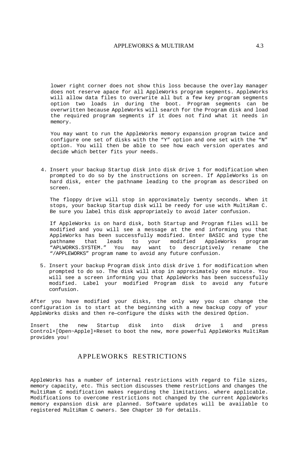lower right corner does not show this loss because the overlay manager does not reserve apace for all AppleWorks program segments. AppleWorks will allow data files to overwrite all but a few key program segments option two loads in during the boot. Program segments can be overwritten because AppleWorks will search for the Program disk and load the required program segments if it does not find what it needs in memory.

You may want to run the AppleWorks memory expansion program twice and configure one set of disks with the "Y" option and one set with the "N" option. You will then be able to see how each version operates and decide which better fits your needs.

4. Insert your backup Startup disk into disk drive 1 for modification when prompted to do so by the instructions on screen. If AppleWorks is on hard disk, enter the pathname leading to the program as described on screen.

The floppy drive will stop in approximately twenty seconds. When it stops, your backup Startup disk will be reedy for use with MultiRam C. Be sure you label this disk appropriately to avoid later confusion.

If AppleWorks is on hard disk, both Startup and Program files will be modified and you will see a message at the end informing you that AppleWorks has been successfully modified. Enter BASIC and type the pathname that leads to your modified AppleWorks program "APLWORKS.SYSTEM." You may want to descriptively rename the "/APPLEWORKS" program name to avoid any future confusion.

5. Insert your backup Program disk into disk drive 1 for modification when prompted to do so. The disk will atop in approximately one minute. You will see a screen informing you that AppleWorks has been successfully modified. Label your modified Program disk to avoid any future confusion.

After you have modified your disks, the only way you can change the configuration is to start at the beginning with a new backup copy of your AppleWorks disks and then re—configure the disks with the desired Option.

Insert the new Startup disk into disk drive 1 and press Control+[Open~Apple]+Reset to boot the new, more powerful AppleWorks MultiRam provides you!

## APPLEWORKS RESTRICTIONS

AppleWorks has a number of internal restrictions with regard to file sizes, memory capacity, etc. This section discusses theme restrictions and changes the MultiRam C modification makes regarding the limitations. where applicable. Modifications to overcome restrictions not changed by the current AppleWorks memory expansion disk are planned. Software updates will be available to registered MultiRam C owners. See Chapter 10 for details.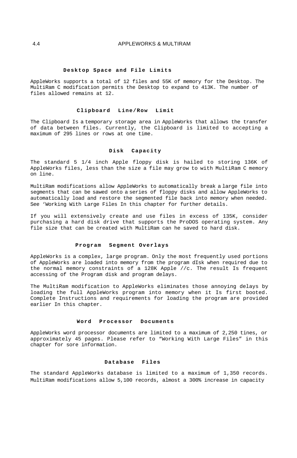#### **Desktop Space and File Limits**

AppleWorks supports a total of 12 files and 55K of memory for the Desktop. The MultiRam C modification permits the Desktop to expand to 413K. The number of files allowed remains at 12.

#### **Clipboard Line/Row Limit**

The Clipboard Is a temporary storage area in AppleWorks that allows the transfer of data between files. Currently, the Clipboard is limited to accepting a maximum of 295 lines or rows at one time.

#### **Disk Capacity**

The standard 5 1/4 inch Apple floppy disk is hailed to storing 136K of AppleWorks files, less than the size a file may grow to with MultiRam C memory on line.

MultiRam modifications allow AppleWorks to automatically break a large file into segments that can be sawed onto a series of floppy disks and allow AppleWorks to automatically load and restore the segmented file back into memory when needed. See 'Working With Large Files In this chapter for further details.

If you will extensively create and use files in excess of 135K, consider purchasing a hard disk drive that supports the ProDOS operating system. Any file size that can be created with MultiRam can he saved to hard disk.

#### **Program Segment Overlays**

AppleWorks is a complex, large program. Only the most frequently used portions of AppleWorks are loaded into memory from the program dIsk when required due to the normal memory constraints of a 128K Apple  $//c$ . The result Is frequent accessing of the Program disk and program delays.

The MultiRam modification to AppleWorks eliminates those annoying delays by loading the full AppleWorks program into memory when it Is first booted. Complete Instructions and requirements for loading the program are provided earlier In this chapter.

#### **Word Processor Documents**

AppleWorks word processor documents are limited to a maximum of 2,250 tines, or approximately 45 pages. Please refer to "Working With Large Files" in this chapter for sore information.

#### **Database Files**

The standard AppleWorks database is limited to a maximum of 1,350 records. MultiRam modifications allow 5,100 records, almost a 300% increase in capacity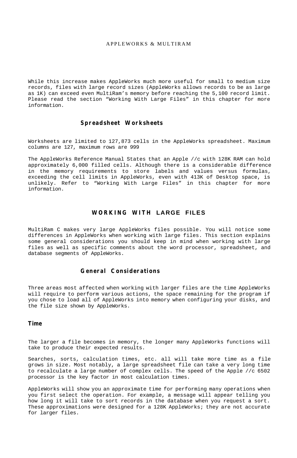## APPLEWORKS & MULTIRAM

While this increase makes AppleWorks much more useful for small to medium size records, files with large record sizes (AppleWorks allows records to be as large as 1K) can exceed even MultiRam's memory before reaching the 5,100 record limit. Please read the section "Working With Large Files" in this chapter for more information.

## **Spreadsheet Worksheets**

Worksheets are limited to 127,873 cells in the AppleWorks spreadsheet. Maximum columns are 127, maximum rows are 999

The AppleWorks Reference Manual States that an Apple //c with 128K RAM can hold approximately 6,000 filled cells. Although there is a considerable difference in the memory requirements to store labels and values versus formulas, exceeding the cell limits in AppleWorks, even with 413K of Desktop space, is unlikely. Refer to "Working With Large Files" in this chapter for more information.

## **WORKING WITH LARGE FILES**

MultiRam C makes very large AppleWorks files possible. You will notice some differences in AppleWorks when working with large files. This section explains some general considerations you should keep in mind when working with large files as well as specific comments about the word processor, spreadsheet, and database segments of AppleWorks.

## **General Considerations**

Three areas most affected when working with larger files are the time AppleWorks will require to perform various actions, the space remaining for the program if you chose to load all of AppleWorks into memory when configuring your disks, and the file size shown by AppleWorks.

## **Time**

The larger a file becomes in memory, the longer many AppleWorks functions will take to produce their expected results.

Searches, sorts, calculation times, etc. all will take more time as a file grows in size. Most notably, a large spreadsheet file can take a very long time to recalculate a large number of complex cells. The speed of the Apple //c 6502 processor is the key factor in most calculation times.

AppleWorks will show you an approximate time for performing many operations when you first select the operation. For example, a message will appear telling you how long it will take to sort records in the database when you request a sort. These approximations were designed for a 128K AppleWorks; they are not accurate for larger files.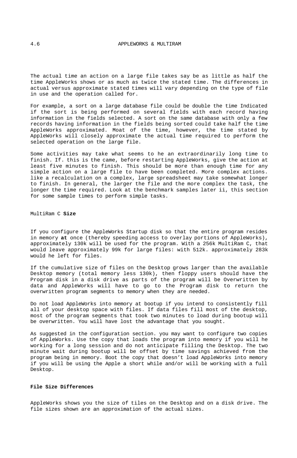The actual time an action on a large file takes say be as little as half the time AppleWorks shows or as much as twice the stated time. The differences in actual versus approximate stated times will vary depending on the type of file in use and the operation called for.

For example, a sort on a large database file could be double the time Indicated if the sort is being performed on several fields with each record having information in the fields selected. A sort on the same database with only a few records having information in the fields being sorted could take half the time AppleWorks approximated. Moat of the time, however, the time stated by AppleWorks will closely approximate the actual time required to perform the selected operation on the large file.

Some activities may take what seems to he an extraordinarily long time to finish. If. this is the came, before restarting AppleWorks, give the action at least five minutes to finish. This should be more than enough time for any simple action on a large file to have been completed. More complex actions. like a recalculation on a complex, large spreadsheet may take somewhat longer to finish. In general, the larger the file and the more complex the task, the longer the time required. Look at the benchmark samples later ii, this section for some sample times to perform simple tasks.

MultiRam C **Size**

If you configure the AppleWorks Startup disk so that the entire program resides in memory **at** once (thereby speeding access to overlay portions of AppleWorks), approximately 130k will be used for the program. With a 256k MultiRam C, that would leave approximately 99k for large files: with 512k. approximately 283k would he left for files.

If the cumulative size of files on the Desktop grows larger than the available Desktop memory (total memory less 130k), then floppy users should have the Program disk in a disk drive as parts of the program will be Overwritten by data and AppleWorks will have to go to the Program disk to return the overwritten program segments to memory when they are needed.

Do not load AppleWorks into memory at bootup if you intend to consistently fill all of your desktop space with files. If data files fill most of the desktop, most of the program segments that took two minutes to load during bootup will be overwritten. You will have lost the advantage that you sought.

As suggested in the configuration section. you may want to configure two copies of AppleWorks. Use the copy that loads the program into memory if you will he working for a long session and do not anticipate filling the Desktop. The two minute wait during bootup will be offset by time savings achieved from the program being in memory. Boot the copy that doesn't load AppleWorks into memory if you will be using the Apple a short while and/or will be working with a full Desktop.

## **File Size Differences**

AppleWorks shows you the size of tiles on the Desktop and on a disk drive. The file sizes shown are an approximation of the actual sizes.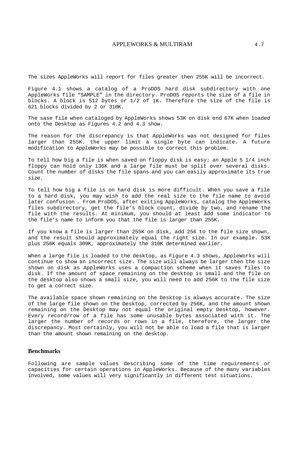## APPLEWORKS & MULTIRAM 4.7

The sizes AppleWorks will report for files greater then 255K will be incorrect.

Figure 4.1 shows a catalog of a ProDOS hard disk subdirectory with one AppleWorks file "SAMPLE" in the directory. ProDOS reports the size of a file in blocks. A block is 512 bytes or 1/2 of 1K. Therefore the size of the file is 621 blocks divided by 2 or 310K.

The sase file when cataloged by AppleWorks shows 53K on disk end 67K when loaded onto the Desktop as Figures 4.2 and 4.3 show.

The reason for the discrepancy is that AppleWorks was not designed for files larger than 255K. the upper limit a single byte can indicate. A future modification to AppleWorks may be possible to correct this problem.

To tell how big a file is when saved on floppy disk is easy; an Apple 5 1/4 inch floppy can hold only 136K and a large file must be split over several disks. Count the number of disks the file spans and you can easily approximate its true size.

To tell how big a file is on hard disk is more difficult. When you save a file to a hard disk, you may wish to add the real size to the file name to avoid later confusion . From ProDOS, after exiting AppleWorks, catalog the AppleWorks files subdirectory, get the file's block count, divide by two, and rename the file with the results. At minimum, you should at least add some indicator to the file's name to inform you that the file is larger than 255K.

If you know a file is larger than 255K on disk, add 256 to the file size shown, and the result should approximately equal the right size. In our example. 53K plus 256K equals 309K, approximately the 310K determined earlier.

When a large file is loaded to the desktop, as Figure 4.3 shows, AppleWorks will continue to show an incorrect size. The size will always be larger then the size shown on disk as AppleWorks uses a compaction scheme when it saves files to disk. If the amount of space remaining on the desktop is small and the file on the desktop also shows a small size, you will need to add 256K to the file size to get a correct size.

The available space shown remaining on the Desktop is always accurate. The size of the large file shown on the Desktop, corrected by 256K, and the amount shown remaining on the Desktop may not equal the original empty Desktop, however. Every record/row of a file has some unusable bytes associated with it. The larger the number of records or rows in a file, therefore, the larger the discrepancy. Most certainly, you will not be able to load a file that is larger than the amount shown remaining on the desktop.

#### **Benchmarks**

Following are sample values describing some of the time requirements or capacities for certain operations in AppleWorks. Because of the many variables involved, some values will very significantly in different test situations.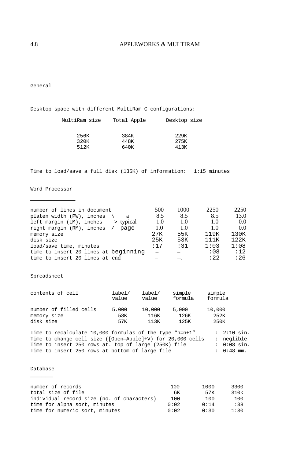## 4.8 APPLEWORKS & MULTIRAM

General  $\sim$ 

Desktop space with different MultiRam C configurations:

| MultiRam size | Total Apple | Desktop size |
|---------------|-------------|--------------|
|               |             |              |
| 256K          | 384K        | 229K         |
| 320K          | 448K        | 275K         |
| 512K          | 640K        | 41.3K        |

Time to load/save a full disk (135K) of information: 1:15 minutes

# Word Processor \_\_\_\_\_\_\_\_\_\_\_\_

| number of lines in document           | 500 | 1000 | 2250  | 2250 |
|---------------------------------------|-----|------|-------|------|
| platen width (PW), inches             | 8.5 | 8.5  | 8.5   | 13.0 |
| > typical<br>left margin (LM), inches | 1.0 | 1.0  | 1.0   | 0.0  |
| right margin (RM), inches /<br>page   | 1.0 | 1.0  | 1.0   | 0.0  |
| memory size                           | 27K | 55K  | 119K  | 130K |
| disk size                             | 25K | 53K  | 111K  | 122K |
| load/save time, minutes               | :17 | :31  | 1:03  | 1:08 |
| time to insert 20 lines at beginning  |     |      | :08   | :12  |
| time to insert 20 lines at end        |     |      | : 22. | :26  |
|                                       |     |      |       |      |

#### Spreadsheet  $\mathcal{L}_\text{max}$

| contents of cell       | label/ | label/ | simple  | simple  |
|------------------------|--------|--------|---------|---------|
|                        | value  | value  | formula | formula |
| number of filled cells | 5.000  | 10,000 | 5,000   | 10,000  |
| memory size            | 58K    | 116K   | 126K    | 252K    |
| disk size              | 57K    | 11.3K  | 125K    | 250K    |

Time to recalculate  $10,000$  formulas of the type "n=n+1" : 2:10 sin. Time to change cell size ([Open—Apple]+V) for 20,000 cells : neglible Time to insert 250 rows at. top of large (250K) file : 0:08 sin. Time to insert 250 rows at bottom of large file : 0:48 mm.

## Database \_\_\_\_\_\_

| number of records                          | 100  | 1000 | 3300 |
|--------------------------------------------|------|------|------|
| total size of file                         | 6К   | 57K  | 310k |
| individual record size (no. of characters) | 100  | 100  | 100  |
| time for alpha sort, minutes               | 0:02 | 0:14 | :38  |
| time for numeric sort, minutes             | 0:02 | 0:30 | 1:30 |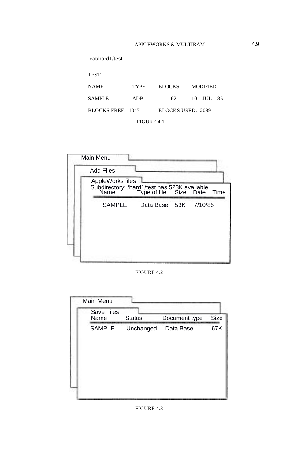| cat/hard1/test    |             |                   |                 |
|-------------------|-------------|-------------------|-----------------|
| <b>TEST</b>       |             |                   |                 |
| <b>NAME</b>       | <b>TYPE</b> | <b>BLOCKS</b>     | <b>MODIFIED</b> |
| <b>SAMPLE</b>     | ADB         | 621               | $10$ —IUL—85    |
| BLOCKS FREE: 1047 |             | BLOCKS USED: 2089 |                 |
|                   | FIGURE 4.1  |                   |                 |

|        | Subdirectory: /hard1/test has 523K available<br>Name Type of file Size Date |         | Time          |
|--------|-----------------------------------------------------------------------------|---------|---------------|
| SAMPLE |                                                                             | 7/10/85 |               |
|        |                                                                             |         |               |
|        |                                                                             |         |               |
|        |                                                                             |         |               |
|        |                                                                             |         |               |
|        | FIGURE 4.2                                                                  |         |               |
|        |                                                                             |         | Data Base 53K |

FIGURE 4.2



## FIGURE 4.3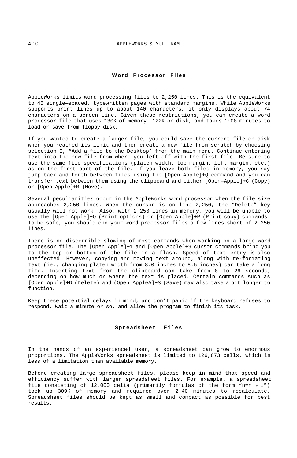## **Word Processor Flies**

AppleWorks limits word processing files to 2,250 lines. This is the equivalent to 45 single—spaced, typewritten pages with standard margins. While AppleWorks supports print lines up to about 140 characters, it only displays about 74 characters on a screen line. Given these restrictions, you can create a word processor file that uses 130K of memory. 122K on disk, and takes 1:08 minutes to load or save from floppy disk.

If you wanted to create a larger file, you could save the current file on disk when you reached its limit and then create a new file from scratch by choosing selection I, "Add a file to the Desktop' from the main menu. Continue entering text into the new file from where you left off with the first file. Be sure to use the same file specifications (platen width, top margin, left margin. etc.) as on the first part of the file. If you leave both files in memory, you say jump back and forth between files using the [Open Apple]+Q command and you can transfer text between them using the clipboard and either [Open—Apple]+C (Copy) or [Open-Apple]+M (Move).

Several peculiarities occur in the AppleWorks word processor when the file size approaches 2,250 lines. When the cursor is on line 2,250, the "Delete" key usually will not work. Also, with 2,250 lines in memory, you will be unable to use the [Open—Apple]+O (Print options) or [Open—Apple]+P (Print copy) commands. To be safe, you should end your word processor files a few lines short of 2.250 lines.

There is no discernible slowing of most commands when working on a large word processor file. The [Open—Apple]+1 and [Open—Apple]+9 cursor commands bring you to the top or bottom of the file in a flash. Speed of text entry is also uneffected. However, copying and moving text around, along with re-formating text (ie., changing platen width from 8.0 inches to 8.5 inches) can take a long time. Inserting text from the clipboard can take from 8 to 26 seconds, depending on how much or where the text is placed. Certain commands such as [Open—Apple]+D (Delete) and (Open—AppleA]+S (Save) may also take a bit longer to function.

Keep these potential delays in mind, and don't panic if the keyboard refuses to respond. Wait a minute or so. and allow the program to finish its task.

#### **Spreadsheet Files**

In the hands of an experienced user, a spreadsheet can grow to enormous proportions. The AppleWorks spreadsheet is limited to 126,873 cells, which is less of a limitation than available memory.

Before creating large spreadsheet files, please keep in mind that speed and efficiency suffer with larger spreadsheet files. For example. a spreadsheet file consisting of 12,000 celia (primarily formulas of the form "n=n + 1") took up 309K of memory and required over 2:40 minutes to recalculate. Spreadsheet files should be kept as small and compact as possible for best results.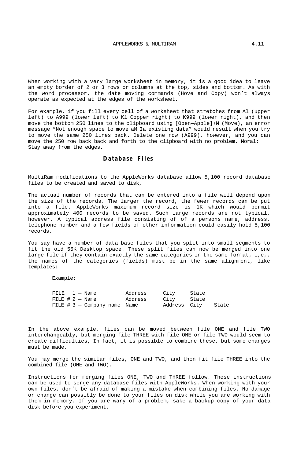When working with a very large worksheet in memory, it is a good idea to leave an empty border of 2 or 3 rows or columns at the top, sides and bottom. As with the word processor, the date moving commands (Hove and Copy) won't always operate as expected at the edges of the worksheet.

For example, if you fill every cell of a worksheet that stretches from Al (upper left) to A999 (lower left) to K1 Copper right) to K999 (lower right), and then move the bottom 250 lines to the clipboard using [Open—Apple]+M (Move), an error message "Not enough space to move aM Ia existing data" would result when you try to move the same 250 lines back. Delete one row (A999), however, and you can move the 250 row back back and forth to the clipboard with no problem. Moral: Stay away from the edges.

## **Database Files**

MultiRam modifications to the AppleWorks database allow 5,100 record database files to be created and saved to disk,

The actual number of records that can be entered into a file will depend upon the size of the records. The larger the record, the fewer records can be put into a file. AppleWorks maximum record size is 1K which would permit approximately 400 records to be saved. Such large records are not typical, however. A typical address file consisting of of a persons name, address, telephone number and a few fields of other information could easily hold 5,100 records.

You say have a number of data base files that you split into small segments to fit the old 55K Desktop space. These split files can now be merged into one large file if they contain exactly the same categories in the same format, i,e,, the names of the categories (fields) must be in the same alignment, like templates:

Example:

|  |  | $FILE \t1 - Name$              | Address | City         | State |       |
|--|--|--------------------------------|---------|--------------|-------|-------|
|  |  | FILE $# 2 - Name$              | Address | City         | State |       |
|  |  | FILE $# 3 - Company$ name Name |         | Address City |       | State |

In the above example, files can be moved between file ONE and file TWO interchangeably, but merging file THREE with file ONE or file TWO would seem to create difficulties, In fact, it is possible to combine these, but some changes must be made.

You may merge the similar files, ONE and TWO, and then fit file THREE into the combined file (ONE and TWO).

Instructions for merging files ONE, TWO and THREE follow. These instructions can be used to serge any database files with AppleWorks. When working with your own files, don't be afraid of making a mistake when combining files. No damage or change can possibly be done to your files on disk while you are working with them in memory. If you are wary of a problem, sake a backup copy of your data disk before you experiment.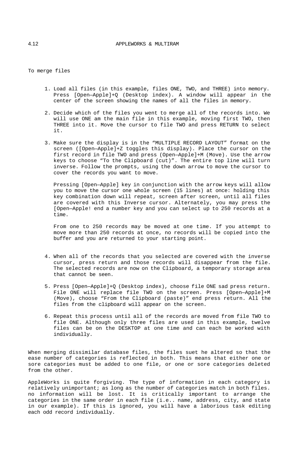To merge files

- 1. Load all files (in this example, files ONE, TWO, and THREE) into memory. Press [Open—Apple]+Q (Desktop index). A window will appear in the center of the screen showing the names of all the files in memory.
- 2. Decide which of the files you went to merge all of the records into. We will use ONE am the main file in this example, moving first TWO, then THREE into it. Move the cursor to file TWO and press RETURN to select it.
- 3. Make sure the display is in the "MULTIPLE RECORD LAYOUT" format on the screen ([Open—Apple]+Z toggles this display). Place the cursor on the first record in file TWO and press (Open—Apple]+M (Move). Use the arrow keys to choose "To the Clipboard (cut)". The entire top line will turn inverse. Follow the prompts, using the down arrow to move the cursor to cover the records you want to move.

Pressing [Open—Apple] key in conjunction with the arrow keys will allow you to move the cursor one whole screen (15 lines) at once: holding this key combination down will repeat, screen after screen, until all files are covered with this Inverse cursor. Alternately, you may press the [Open—Apple! end a number key and you can select up to 250 records at a time.

From one to 250 records may be moved at one time. If you attempt to move more than 250 records at once, no records will be copied into the buffer and you are returned to your starting point.

- 4. When all of the records that you selected are covered with the inverse cursor, press return and those records will disappear from the file. The selected records are now on the Clipboard, a temporary storage area that cannot be seen.
- 5. Press [Open—Apple]+Q (Desktop index), choose file ONE sad press return. File ONE will replace file TWO on the screen. Press [Open—Apple]+M (Move), choose "From the Clipboard (paste)" end press return. All the files from the clipboard will appear on the screen.
- 6. Repeat this process until all of the records are moved from file TWO to file ONE. Although only three files are used in this example, twelve files can be on the DESKTOP at one time and can each be worked with individually.

When merging dissimilar database files, the files suet he altered so that the ease number of categories is reflected in both. This means that either one or sore categories must be added to one file, or one or sore categories deleted from the other.

AppleWorks is quite forgiving. The type of information in each category is relatively unimportant; as long as the number of categories match in both files. no information will be lost. It is critically important to arrange the categories in the same order in each file (i.e.. name, address, city, and state in our example). If this is ignored, you will have a laborious task editing each odd record individually.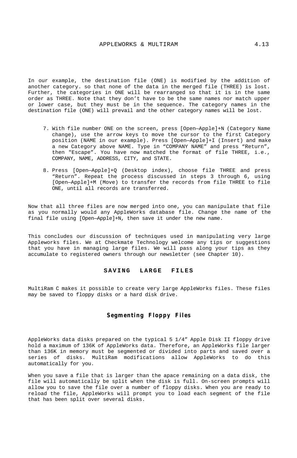In our example, the destination file (ONE) is modified by the addition of another category. so that none of the data in the merged file (THREE) is lost. Further, the categories in ONE will be rearranged so that it is in the same order as THREE. Note that they don't have to be the same names nor match upper or lower case, but they must be in the sequence. The category names in the destination file (ONE) will prevail and the other category names will be lost.

- 7. With file number ONE on the screen, press [Open—Apple]+N (Category Name change), use the arrow keys to move the cursor to the first Category position (NAME in our example). Press [Open—Apple]+I (Insert) and make a new Category above NAME. Type in "COMPANY NAME" and press "Return", then "Escape". You have now matched the format of file THREE, i.e., COMPANY, NAME, ADDRESS, CITY, and STATE.
- 8. Press [Open—Apple]+Q (Desktop index), choose file THREE and press "Return". Repeat the process discussed in steps 3 through 6, using [Open—Apple]+M (Move) to transfer the records from file THREE to file ONE, until all records are transferred.

Now that all three files are now merged into one, you can manipulate that file as you normally would any AppleWorks database file. Change the name of the final file using [Open—Apple]+N, then save it under the new name.

This concludes our discussion of techniques used in manipulating very large Appleworks files. We at Checkmate Technology welcome any tips or suggestions that you have in managing large files. We will pass along your tips as they accumulate to registered owners through our newsletter (see Chapter 10).

## **SAVING LARGE FILES**

MultiRam C makes it possible to create very large AppleWorks files. These files may be saved to floppy disks or a hard disk drive.

## **Segmenting Floppy Files**

AppleWorks data disks prepared on the typical 5 1/4" Apple Disk II floppy drive hold a maximum of 136K of AppleWorks data. Therefore, an AppleWorks file larger than 136K in memory must be segmented or divided into parts and saved over a series of disks. MultiRam modifications allow AppleWorks to do this automatically for you.

When you save a file that is larger than the apace remaining on a data disk, the file will automatically be split when the disk is full. On-screen prompts will allow you to save the file over a number of floppy disks. When you are ready to reload the file, AppleWorks will prompt you to load each segment of the file that has been split over several disks.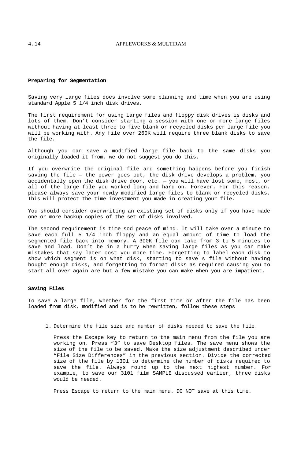#### **Preparing for Segmentation**

Saving very large files does involve some planning and time when you are using standard Apple 5 1/4 inch disk drives.

The first requirement for using large files and floppy disk drives is disks and lots of them. Don't consider starting a session with one or more large files without having at least three to five blank or recycled disks per large file you will be working with. Any file over 260K will require three blank disks to save the file.

Although you can save a modified large file back to the same disks you originally loaded it from, we do not suggest you do this.

If you overwrite the original file and something happens before you finish saving the file — the power goes out, the disk drive develops a problem, you accidentally open the disk drive door, etc. — you will have lost some, most, or all of the large file you worked long and hard on. Forever. For this reason. please always save your newly modified large files to blank or recycled disks. This will protect the time investment you made in creating your file.

You should consider overwriting an existing set of disks only if you have made one or more backup copies of the set of disks involved.

The second requirement is time sod peace of mind. It will take over a minute to save each full 5 1/4 inch floppy and an equal amount of time to load the segmented file back into memory. A 300K file can take from 3 to 5 minutes to save and load. Don't be in a hurry when saving large files as you can make mistakes that say later cost you more time. Forgetting to label each disk to show which segment is on what disk, starting to save s file without having bought enough disks, and forgetting to format disks as required causing you to start all over again are but a few mistake you can make when you are impatient.

#### **Saving Files**

To save a large file, whether for the first time or after the file has been loaded from disk, modified and is to he rewritten, follow these steps

1. Determine the file size and number of disks needed to save the file.

Press the Escape key to return to the main menu from the file you are working on. Press "3" to save Desktop files. The save menu shows the size of the file to be saved. Make the size adjustment described under "File Size Differences" in the previous section. Divide the corrected size of the file by 1301 to determine the number of disks required to save the file. Always round up to the next highest number. For example, to save our 3101 film SAMPLE discussed earlier, three disks would be needed.

Press Escape to return to the main menu. D0 NOT save at this time.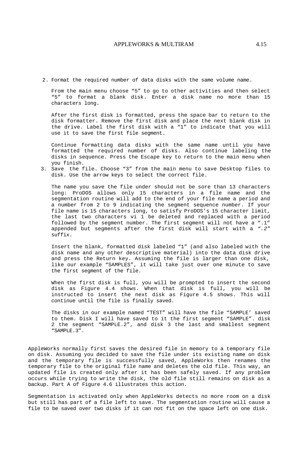2. Format the required number of data disks with the same volume name.

From the main menu choose "5" to go to other activities and then select "5" to format a blank disk. Enter a disk name no more than 15 characters long.

After the first disk is formatted, press the space bar to return to the disk formatter. Remove the first disk and place the next blank disk in the drive. Label the first disk with a "1" to indicate that you will use it to save the first file segment.

Continue formatting data disks with the same name until you have formatted the required number of disks. Also continue labeling the disks in sequence. Press the Escape key to return to the main menu when you finish.

3. Save the file. Choose "3" from the main menu to save Desktop files to disk. Use the arrow keys to select the correct file.

The name you save the file under should not be sore than 13 characters long: ProDOS allows only 15 characters in a file name and the segmentation routine will add to the end of your file name a period and a number from 2 to 9 indicating the segment sequence number. If your file name is 15 characters long, to satisfy ProDOS's 15 character limit, the last two characters vi 1 be deleted and replaced with a period followed by the segment number. The first segment will not have a ".1" appended but segments after the first disk will start with a *".2"*  suffix.

Insert the blank, formatted disk labeled "1" (and also labeled with the disk name and any other descriptive material) into the data disk drive and press the Return key. Assuming the file is larger than one disk, like our example "SAMPLES", it will take just over one minute to save the first segment of the file.

When the first disk is full, you will be prompted to insert the second disk as Figure 4.4 shows. When that disk is full, you will be instructed to insert the next disk as Figure 4.5 shows. This will continue until the file is finally saved.

The disks in our example named "TEST" will have the file "SAMPLE' saved to them. Disk I will have saved to it the first segment "SAMPLE". disk 2 the segment "SAMPLE.2", and disk 3 the last and smallest segment "SAMPLE.3".

AppleWorks normally first saves the desired file in memory to a temporary file on disk. Assuming you decided to save the file under its existing name on disk and the temporary file is successfully saved, AppleWorks then renames the temporary file to the original file name and deletes the old file. This way, an updated file is created only after it has been safely saved. If any problem occurs while trying to write the disk, the old file still remains on disk as a backup. Part A of Figure 4.6 illustrates this action.

Segmentation is activated only when AppleWorks detects no more room on a disk but still has part of a file left to save. The segmentation routine will cause a file to be saved over two disks if it can not fit on the space left on one disk.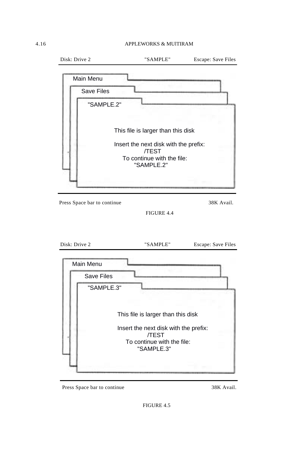## 4.16 APPLEWORKS & MUlTIRAM

|               | Main Menu                   |                                                                                                                                         |                                         |
|---------------|-----------------------------|-----------------------------------------------------------------------------------------------------------------------------------------|-----------------------------------------|
|               | <b>Save Files</b>           |                                                                                                                                         |                                         |
|               | "SAMPLE.2"                  |                                                                                                                                         |                                         |
|               |                             | This file is larger than this disk<br>Insert the next disk with the prefix:<br><b>/TEST</b><br>To continue with the file:<br>"SAMPLE.2" |                                         |
|               |                             |                                                                                                                                         |                                         |
|               | Press Space bar to continue |                                                                                                                                         |                                         |
|               |                             | FIGURE 4.4                                                                                                                              |                                         |
| Disk: Drive 2 |                             | "SAMPLE"                                                                                                                                | 38K Avail.<br><b>Escape: Save Files</b> |
|               | <b>Main Menu</b>            |                                                                                                                                         |                                         |
|               | <b>Save Files</b>           |                                                                                                                                         |                                         |
|               | "SAMPLE.3"                  |                                                                                                                                         |                                         |
|               |                             |                                                                                                                                         |                                         |
|               |                             | This file is larger than this disk                                                                                                      |                                         |
|               |                             | Insert the next disk with the prefix:<br>/TEST                                                                                          |                                         |

Press Space bar to continue 38K Avail.

FIGURE 4.5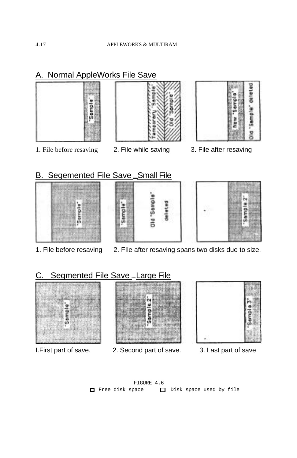# A. Normal AppleWorks File Save









# B. Segemented File Save \_Small File







- 
- 1. File before resaving 2. FIle after resaving spans two disks due to size.

# C. Segmented File Save \_Large File



- 
- I.First part of save. 2. Second part of save. 3. Last part of save
- - FIGURE 4.6 □ Free disk space □ Disk space used by file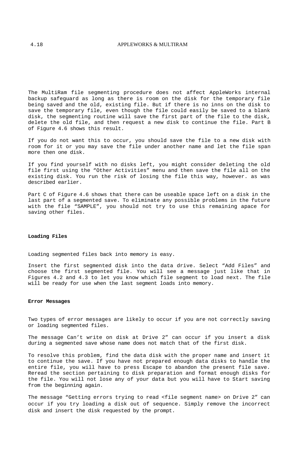## 4.18 APPLEWORKS & MULTIRAM

The MultiRam file segmenting procedure does not affect AppleWorks internal backup safeguard as long as there is room on the disk for the temporary file being saved and the old, existing file. But if there is no inns on the disk to save the temporary file, even though the file could easily be saved to a blank disk, the segmenting routine will save the first part of the file to the disk, delete the old file, and then request a new disk to continue the file. Part B of Figure 4.6 shows this result.

If you do not want this to occur, you should save the file to a new disk with room for it or you may save the file under another name and let the file span more then one disk.

If you find yourself with no disks left, you might consider deleting the old file first using the "Other Activities" menu and then save the file all on the existing disk. You run the risk of losing the file this way, however. as was described earlier.

Part C of Figure 4.6 shows that there can be useable space left on a disk in the last part of a segmented save. To eliminate any possible problems in the future with the file "SAMPLE", you should not try to use this remaining apace for saving other files.

#### **Loading Files**

Loading segmented files back into memory is easy.

Insert the first segmented disk into the data drive. Select "Add Files" and choose the first segmented file. You will see a message just like that in Figures 4.2 and 4.3 to let you know which file segment to load next. The file will be ready for use when the last segment loads into memory.

#### **Error Messages**

Two types of error messages are likely to occur if you are not correctly saving or loading segmented files.

The message Can't write on disk at Drive 2" can occur if you insert a disk during a segmented save whose name does not match that of the first disk.

To resolve this problem, find the data disk with the proper name and insert it to continue the save. If you have not prepared enough data disks to handle the entire file, you will have to press Escape to abandon the present file save. Reread the section pertaining to disk preparation and format enough disks for the file. You will not lose any of your data but you will have to Start saving from the beginning again.

The message "Getting errors trying to read <file segment name> on Drive 2" can occur if you try loading a disk out of sequence. Simply remove the incorrect disk and insert the disk requested by the prompt.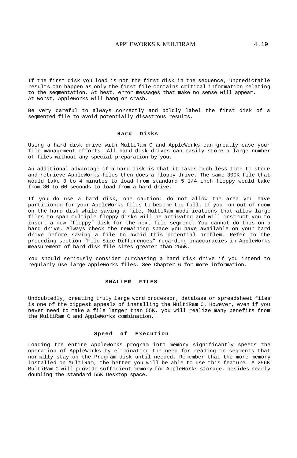## APPLEWORKS & MULTIRAM 4.19

If the first disk you load is not the first disk in the sequence, unpredictable results can happen as only the first file contains critical information relating to the segmentation. At best, error messages that make no sense will appear. At worst, AppleWorks will hang or crash.

Be very careful to always correctly and boldly label the first disk of a segmented file to avoid potentially disastrous results.

### **Hard Disks**

Using a hard disk drive with MultiRam C and AppleWorks can greatly ease your file management efforts. All hard disk drives can easily store a large number of files without any special preparation by you.

An additional advantage of a hard disk is that it takes much less time to store and retrieve AppleWorks files then does a floppy drive. The same 300K file that would take 3 to 4 minutes to load from standard 5 1/4 inch floppy would take from 30 to 60 seconds to load from a hard drive.

If you do use a hard disk, one caution: do not allow the area you have partitioned for your AppleWorks files to become too full. If you run out of room on the hard disk while saving a file, MultiRam modifications that allow large files to span multiple floppy disks will be activated and will instruct you to insert a new "floppy" disk for the next file segment. You cannot do this on a hard drive. Always check the remaining space you have available on your hard drive before saving a file to avoid this potential problem. Refer to the preceding section "File Size Differences" regarding inaccuracies in AppleWorks measurement of hard disk file sizes greater than 255K.

You should seriously consider purchasing a hard disk drive if you intend to regularly use large AppleWorks files. See Chapter 6 for more information.

#### **SMALLER FILES**

Undoubtedly, creating truly large word processor, database or spreadsheet files is one of the biggest appeals of installing the MultiRam C. However, even if you never need to make a file larger than 55K, you will realize many benefits from the MultiRam C and AppleWorks combination.

## **Speed of Execution**

Loading the entire AppleWorks program into memory significantly speeds the operation of AppleWorks by eliminating the need for reading in segments that normally stay on the Program disk until needed. Remember that the more memory installed on MultiRam, the better you will be able to use this feature. A 256K MultiRam C will provide sufficient memory for AppleWorks storage, besides nearly doubling the standard 55K Desktop space.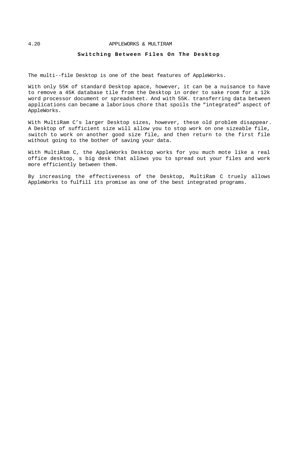#### 4.20 APPLEWORKS & MULTIRAM

### **Switching Between Files On The Desktop**

The multi--file Desktop is one of the beat features of AppleWorks.

With only 55K of standard Desktop apace, however, it can be a nuisance to have to remove a 45K database tile from the Desktop in order to sake room for a 12k word processor document or spreadsheet. And with 55K. transferring data between applications can became a laborious chore that spoils the "integrated" aspect of AppleWorks.

With MultiRam C's larger Desktop sizes, however, these old problem disappear. A Desktop of sufficient size will allow you to stop work on one sizeable file, switch to work on another good size file, and then return to the first file without going to the bother of saving your data.

With MultiRam C, the AppleWorks Desktop works for you much mote like a real office desktop, s big desk that allows you to spread out your files and work more efficiently between them.

By increasing the effectiveness of the Desktop, MultiRam C truely allows AppleWorks to fulfill its promise as one of the best integrated programs.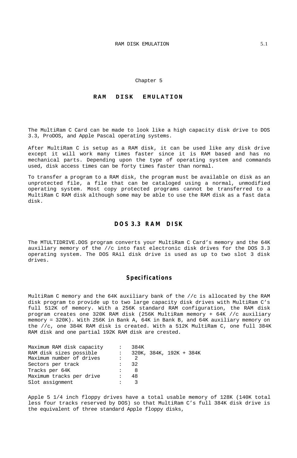Chapter 5

## **RAM DISK EMULATION**

The MultiRam C Card can be made to look like a high capacity disk drive to DOS 3.3, ProDOS, and Apple Pascal operating systems.

After MultiRam C is setup as a RAM disk, it can be used like any disk drive except it will work many times faster since it is RAM based and has no mechanical parts. Depending upon the type of operating system and commands used, disk access times can be forty times faster than normal.

To transfer a program to a RAM disk, the program must be available on disk as an unprotected file, a file that can be cataloged using a normal, unmodified operating system. Most copy protected programs cannot be transferred to a MultiRam C RAM disk although some may be able to use the RAM disk as a fast data disk.

## **DOS 3.3 RAM DISK**

The MTULTIDRIVE.DOS program converts your MultiRam C Card's memory and the 64K auxiliary memory of the //c into fast electronic disk drives for the DOS 3.3 operating system. The DOS RAil disk drive is used as up to two slot 3 disk drives.

## **Specifications**

MultiRam C memory and the 64K auxiliary bank of the //c is allocated by the RAM disk program to provide up to two large capacity disk drives with MultiRam C's full 512K of memory. With a 256K standard RAM configuration, the RAM disk program creates one 320K RAM disk (256K MultiRam memory + 64K //c auxiliary memory = 320K). With 256K in Bank A, 64K in Bank B, and 64K auxiliary memory on the //c, one 384K RAM disk is created. With a 512K MultiRam C, one full 384K RAM disk and one partial 192K RAM disk are crested.

| Maximum RAM disk capacity |              | 384K           |                         |  |  |
|---------------------------|--------------|----------------|-------------------------|--|--|
| RAM disk sizes possible   | <b>State</b> |                | 320K, 384K, 192K + 384K |  |  |
| Maximum number of drives  |              | $\overline{2}$ |                         |  |  |
| Sectors per track         |              | - 32           |                         |  |  |
| Tracks per 64K            |              |                |                         |  |  |
| Maximum tracks per drive  |              | 48             |                         |  |  |
| Slot assignment           |              |                |                         |  |  |

Apple 5 1/4 inch floppy drives have a total usable memory of 128K (140K total less four tracks reserved by DOS) so that MultiRam C's full 384K disk drive is the equivalent of three standard Apple floppy disks,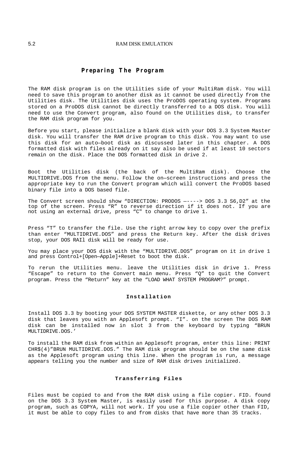#### 5.2 RAM DISK EMULATION

## **Preparing The Program**

The RAM disk program is on the Utilities side of your MultiRam disk. You will need to save this program to another disk as it cannot be used directly from the Utilities disk. The Utilities disk uses the ProDOS operating system. Programs stored on a ProDOS disk cannot be directly transferred to a DOS disk. You will need to use the Convert program, also found on the Utilities disk, to transfer the RAM disk program for you.

Before you start, please initialize a blank disk with your DOS 3.3 System Master disk. You will transfer the RAM drive program to this disk. You may want to use this disk for an auto—boot disk as discussed later in this chapter. A DOS formatted disk with files already on it say also be used if at least 10 sectors remain on the disk. Place the DOS formatted disk in drive 2.

Boot the Utilities disk (the back of the MultiRam disk). Choose the MULTIDRIVE.DOS from the menu. Follow the on—screen instructions and press the appropriate key to run the Convert program which will convert the ProDOS based binary file into a DOS based file.

The Convert screen should show "DIRECTION: PRODOS —----> DOS 3.3 S6,D2" at the top of the screen. Press "R" to reverse direction if it does not. If you are not using an external drive, press "C" to change to drive 1.

Press "T" to transfer the file. Use the right arrow key to copy over the prefix than enter "MULTIDRIVE.DOS" and press the Return key. After the disk drives stop, your DOS RAIl disk will be ready for use.

You may place your DOS disk with the "MULTIDRIVE.DOS" program on it in drive 1 and press Control+[Open—Apple]+Reset to boot the disk.

To rerun the Utilities menu. leave the Utilities disk in drive 1. Press "Escape" to return to the Convert main menu. Press "Q" to quit the Convert program. Press the "Return" key at the "LOAD WHAT SYSTEM PROGRAM?" prompt.

### **Installation**

Install DOS 3.3 by booting your DOS SYSTEM MASTER diskette, or any other DOS 3.3 disk that leaves you with an Applesoft prompt. "I". on the screen The DOS RAM disk can be installed now in slot 3 from the keyboard by typing "BRUN MULTIDRIVE.DOS.'

To install the RAM disk from within an Applesoft program, enter this line: PRINT CHR\$(4)"BRUN MULTIDRIVE.DOS." The RAM disk program should be on the same disk as the Applesoft program using this line. When the program is run, a message appears telling you the number and size of RAM disk drives initialized.

#### **Transferring Files**

Files must be copied to and from the RAM disk using a file copier. FID. found on the DOS 3.3 System Master, is easily used for this purpose. A disk copy program, such as COPYA, will not work. If you use a file copier other than FID, it must be able to copy files to and from disks that have more than 35 tracks.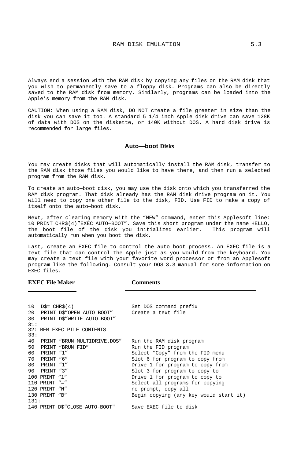Always end a session with the RAM disk by copying any files on the RAM disk that you wish to permanently save to a floppy disk. Programs can also be directly saved to the RAM disk from memory. Similarly, programs can be loaded into the Apple's memory from the RAM disk.

CAUTION: When using a RAM disk, DO NOT create a file greeter in size than the disk you can save it too. A standard 5 1/4 inch Apple disk drive can save 128K of data with DOS on the diskette, or 140K without DOS. A hard disk drive is recommended for large files.

## **Auto—boot Disks**

You may create disks that will automatically install the RAM disk, transfer to the RAM disk those files you would like to have there, and then run a selected program from the RAM disk.

To create an auto—boot disk, you may use the disk onto which you transferred the RAM disk program. That disk already has the RAM disk drive program on it. You will need to copy one other file to the disk, FID. Use FID to make a copy of itself onto the auto—boot disk.

Next, after clearing memory with the "NEW" command, enter this Applesoft line: 10 PRINT CHR\$(4)"EXEC AUTO—BOOT". Save this short program under the name HELLO, the boot file of the disk you initialized earlier. This program will automatically run when you boot the disk.

Last, create an EXEC file to control the auto—boot process. An EXEC file is a text file that can control the Apple just as you would from the keyboard. You may create a text file with your favorite word processor or from an Applesoft program like the following. Consult your DOS 3.3 manual for sore information on EXEC files.

#### **EXEC File Maker Comments**

| 10<br>20<br>30 | $DS = CHR\$ $(4)$ | PRINT D\$"OPEN AUTO-BOOT" Create a text file<br>PRINT D\$"WRITE AUTO-BOOT" | Set DOS command prefix                 |
|----------------|-------------------|----------------------------------------------------------------------------|----------------------------------------|
| 31:<br>33:     |                   | 32: REM EXEC PILE CONTENTS                                                 |                                        |
| 40             |                   | PRINT "BRUN MULTIDRIVE.DOS"                                                | Run the RAM disk program               |
| 50             |                   | PRINT "BRIN FID"                                                           | Run the FID program                    |
| 60             | PRINT "1"         |                                                                            | Select "Copy" from the FID menu        |
| 70             | PRINT "6"         |                                                                            | Slot 6 for program to copy from        |
| 80             | PRINT "1"         |                                                                            | Drive 1 for program to copy from       |
| 90             | PRINT "3"         |                                                                            | Slot 3 for program to copy to          |
|                | 100 PRINT "1"     |                                                                            | Drive 1 for program to copy to         |
|                | 110 PRINT $" ="$  |                                                                            | Select all programs for copying        |
|                | 120 PRINT "N"     |                                                                            | no prompt, copy all                    |
|                | 130 PRINT "B"     |                                                                            | Begin copying (any key would start it) |
| 131:           |                   |                                                                            |                                        |
|                |                   | 140 PRINT DS"CLOSE AUTO-BOOT"                                              | Save EXEC file to disk                 |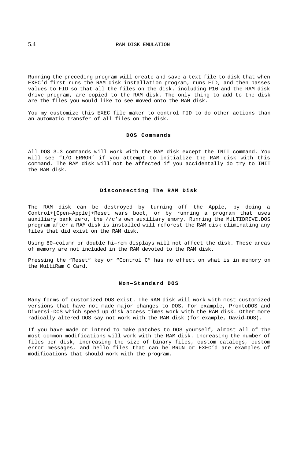Running the preceding program will create and save a text file to disk that when EXEC'd first runs the RAM disk installation program, runs FID, and then passes values to FID so that all the files on the disk. including P10 and the RAM disk drive program, are copied to the RAM disk. The only thing to add to the disk are the files you would like to see moved onto the RAM disk.

You my customize this EXEC file maker to control FID to do other actions than an automatic transfer of all files on the disk.

#### **DOS Commands**

All DOS 3.3 commands will work with the RAM disk except the INIT command. You will see "I/O ERROR' if you attempt to initialize the RAM disk with this command. The RAM disk will not be affected if you accidentally do try to INIT the RAM disk.

## **Disconnecting The RAM Disk**

The RAM disk can be destroyed by turning off the Apple, by doing a Control+[Open—Apple]+Reset wars boot, or by running a program that uses auxiliary bank zero, the //c's own auxiliary emory. Running the MULTIDRIVE.DOS program after a RAM disk is installed will reforest the RAM disk eliminating any files that did exist on the RAM disk.

Using 80—column or double hi—rem displays will not affect the disk. These areas of memory are not included in the RAM devoted to the RAM disk.

Pressing the "Reset" key or "Control C" has no effect on what is in memory on the MultiRam C Card.

#### **Non—Standard DOS**

Many forms of customized DOS exist. The RAM disk will work with most customized versions that have not made major changes to DOS. For example, ProntoDOS and Diversi-DOS which speed up disk access times work with the RAM disk. Other more radically altered DOS say not work with the RAM disk (for example, David—DOS).

If you have made or intend to make patches to DOS yourself, almost all of the most common modifications will work with the RAM disk. Increasing the number of files per disk, increasing the size of binary files, custom catalogs, custom error messages, and hello files that can be BRUN or EXEC'd are examples of modifications that should work with the program.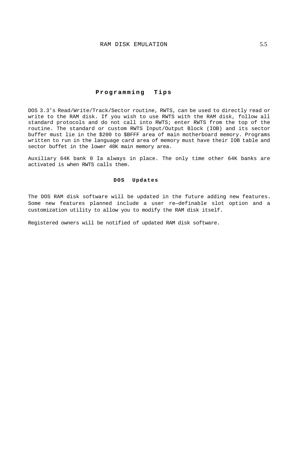## **Programming Tips**

DOS 3.3's Read/Write/Track/Sector routine, RWTS, can be used to directly read or write to the RAM disk. If you wish to use RWTS with the RAM disk, follow all standard protocols and do not call into RWTS; enter RWTS from the top of the routine. The standard or custom RWTS Input/Output Block (IOB) and its sector buffer must lie in the \$200 to \$BFFF area of main motherboard memory. Programs written to run in the language card area of memory must have their IOB table and sector buffet in the lower 48K main memory area.

Auxiliary 64K bank 0 Ia always in place. The only time other 64K banks are activated is when RWTS calls them.

## **DOS Updates**

The DOS RAM disk software will be updated in the future adding new features. Some new features planned include a user re—definable slot option and a customization utility to allow you to modify the RAM disk itself.

Registered owners will be notified of updated RAM disk software.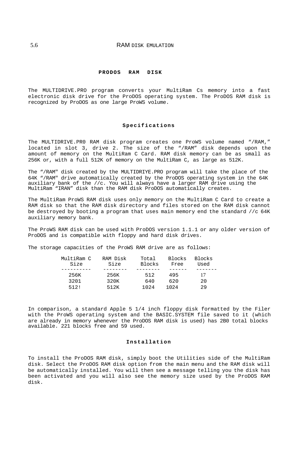## 5.6 RAM DISK EMULATION

#### **PRODOS RAM DISK**

The MULTIDRIVE.PRO program converts your MultiRam Cs memory into a fast electronic disk drive for the ProDOS operating system. The ProDOS RAM disk is recognized by ProDOS as one large ProWS volume.

## **Specifications**

The MULTIDRIVE.PR0 RAM disk program creates one ProWS volume named "/RAM," located in slot 3, drive 2. The size of the "/RAM" disk depends upon the amount of memory on the MultiRam C Card. RAM disk memory can be as small as 256K or, with a full 512K of memory on the MultiRam C, as large as 512K.

The "/RAM" disk created by the MULTIDRIYE.PRO program will take the place of the 64K "/RAM" drive automatically created by the ProDOS operating system in the 64K auxiliary bank of the //c. You will always have a larger RAM drive using the MultiRam "IRAN" disk than the RAM disk ProDOS automatically creates.

The MultiRam ProWS RAM disk uses only memory on the MultiRam C Card to create a RAM disk so that the RAM disk directory and files stored on the RAM disk cannot be destroyed by booting a program that uses main memory end the standard //c 64K auxiliary memory bank.

The ProWS RAM disk can be used with ProDOS version 1.1.1 or any older version of ProDOS and is compatible with floppy and hard disk drives.

The storage capacities of the ProWS RAM drive are as follows:

| MultiRam C<br>Size | Blocks<br>Free                           | Blocks<br>Used                        |
|--------------------|------------------------------------------|---------------------------------------|
|                    |                                          |                                       |
| 256K               | 495                                      | 17                                    |
| 3201               | 620                                      | 20                                    |
| 512!               | 1024                                     | 29                                    |
|                    | RAM Disk<br>Size<br>256K<br>320K<br>512K | Total<br>Blocks<br>512<br>640<br>1024 |

In comparison, a standard Apple 5 1/4 inch floppy disk formatted by the Filer with the ProWS operating system and the BASIC.SYSTEM file saved to it (which are already in memory whenever the ProDOS RAM disk is used) has 2B0 total blocks available. 221 blocks free and 59 used.

#### **Installation**

To install the ProDOS RAM disk, simply boot the Utilities side of the MultiRam disk. Select the ProDOS RAM disk option from the main menu and the RAM disk will be automatically installed. You will then see a message telling you the disk has been activated and you will also see the memory size used by the ProDOS RAM disk.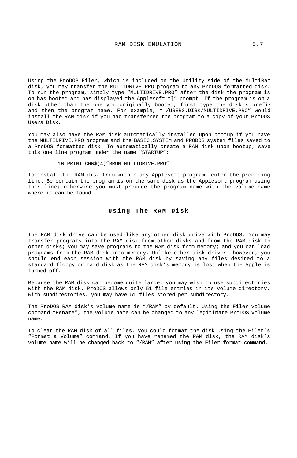Using the ProDOS Filer, which is included on the Utility side of the MultiRam disk, you may transfer the MULTIDRIVE.PRO program to any ProDOS formatted disk. To run the program, simply type "MULTIDRIVE.PRO" after the disk the program is on has booted and has displayed the Applesoft "]" prompt. If the program is on a disk other than the one you originally booted, first type the disk s prefix and then the program name. For example, "—/USERS.DISK/MULTIDRIVE.PRO" would install the RAM disk if you had transferred the program to a copy of your ProDOS Users Disk.

You may also have the RAM disk automatically installed upon bootup if you have the MULTIDRIVE.PRO program and the BASIC.SYSTEM and PRODOS system files saved to a ProDOS formatted disk. To automatically create a RAM disk upon bootup, save this one line program under the name "STARTUP":

10 PRINT CHR\$(4)"BRUN MULTIDRIVE.PRO"

To install the RAM disk from within any Applesoft program, enter the preceding line. Be certain the program is on the same disk as the Applesoft program using this line; otherwise you must precede the program name with the volume name where it can be found.

## **Using The RAM Disk**

The RAM disk drive can be used like any other disk drive with ProDOS. You may transfer programs into the RAM disk from other disks and from the RAM disk to other disks; you may save programs to the RAM disk from memory; and you can load programs from the RAM disk into memory. Unlike other disk drives, however, you should end each session with the RAM disk by saving any files desired to a standard floppy or hard disk as the RAM disk's memory is lost when the Apple is turned off.

Because the RAM disk can become quite large, you may wish to use subdirectories with the RAM disk. ProDOS allows only 51 file entries in its volume directory. With subdirectories, you may have 51 files stored per subdirectory.

The ProDOS RAM disk's volume name is "/RAM" by default. Using the Filer volume command "Rename", the volume name can he changed to any legitimate ProDOS volume name.

To clear the RAM disk of all files, you could format the disk using the Filer's "Format a Volume" command. If you have renamed the RAM disk, the RAM disk's volume name will be changed back to "/RAM" after using the Filer format command.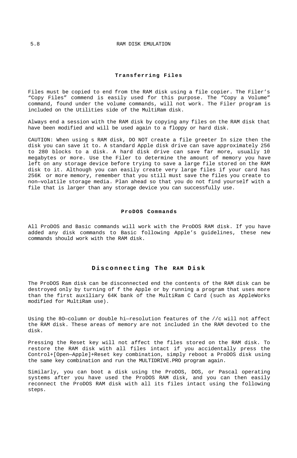## **Transferring Files**

Files must be copied to end from the RAM disk using a file copier. The Filer's "Copy Files" commend is easily used for this purpose. The "Copy a Volume" command, found under the volume commands, will not work. The Filer program is included on the Utilities side of the MultiRam disk.

Always end a session with the RAM disk by copying any files on the RAM disk that have been modified and will be used again to a floppy or hard disk.

CAUTION: When using s RAM disk, DO NOT create a file greeter In size then the disk you can save it to. A standard Apple disk drive can save approximately 256 to 280 blocks to a disk. A hard disk drive can save far more, usually 10 megabytes or more. Use the Filer to determine the amount of memory you have left on any storage device before trying to save a large file stored on the RAM disk to it. Although you can easily create very large files if your card has 256K or more memory, remember that you still must save the files you create to non—volatile storage media. Plan ahead so that you do not find yourself with a file that is larger than any storage device you can successfully use.

#### **ProDOS Commands**

All ProDOS and Basic commands will work with the ProDOS RAM disk. If you have added any disk commands to Basic following Apple's guidelines, these new commands should work with the RAM disk.

## **Disconnecting The RAM Disk**

The ProDOS Ram disk can be disconnected end the contents of the RAM disk can be destroyed only by turning of f the Apple or by running a program that uses more than the first auxiliary 64K bank of the MultiRam C Card (such as AppleWorks modified for MultiRam use).

Using the 8O—column or double hi—resolution features of the //c will not affect the RAM disk. These areas of memory are not included in the RAM devoted to the disk.

Pressing the Reset key will not affect the files stored on the RAM disk. To restore the RAM disk with all files intact if you accidentally press the Control+[Open—Apple]+Reset key combination, simply reboot a ProDOS disk using the same key combination and run the MULTIDRIVE.PRO program again.

Similarly, you can boot a disk using the ProDOS, DOS, or Pascal operating systems after you have used the ProDOS RAM disk, and you can then easily reconnect the ProDOS RAM disk with all its files intact using the following steps.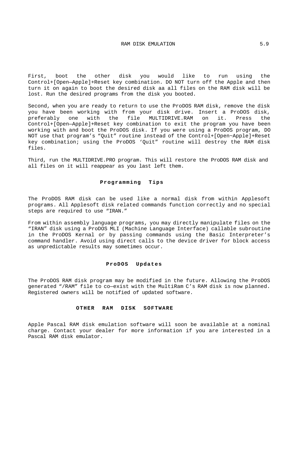First, boot the other disk you would like to run using the Control+[Open—Apple]+Reset key combination. DO NOT turn off the Apple and then turn it on again to boot the desired disk aa all files on the RAM disk will be lost. Run the desired programs from the disk you booted.

Second, when you are ready to return to use the ProDOS RAM disk, remove the disk you have been working with from your disk drive. Insert a ProDOS disk, preferably one with the file MULTIDRIVE.RAM on it. Press the Control+[Open—Apple]+Reset key combination to exit the program you have been working with and boot the ProDOS disk. If you were using a ProDOS program, DO NOT use that program's "Quit" routine instead of the Control+[Open~Apple]+Reset key combination; using the ProDOS 'Quit" routine will destroy the RAM disk files.

Third, run the MULTIDRIVE.PRO program. This will restore the ProDOS RAM disk and all files on it will reappear as you last left them.

## **Programming Tips**

The ProDOS RAM disk can be used like a normal disk from within Applesoft programs. All Applesoft disk related commands function correctly and no special steps are required to use "IRAN."

From within assembly language programs, you may directly manipulate files on the "IRAN" disk using a ProDOS MLI (Machine Language Interface) callable subroutine in the ProDOS Kernal or by passing commands using the Basic Interpreter's command handler. Avoid using direct calls to the device driver for block access as unpredictable results may sometimes occur.

#### **ProDOS Updates**

The ProDOS RAM disk program may be modified in the future. Allowing the ProDOS generated "/RAM" file to co—exist with the MultiRam C's RAM disk is now planned. Registered owners will be notified of updated software.

#### **OTHER RAM DISK SOFTWARE**

Apple Pascal RAM disk emulation software will soon be available at a nominal charge. Contact your dealer for more information if you are interested in a Pascal RAM disk emulator.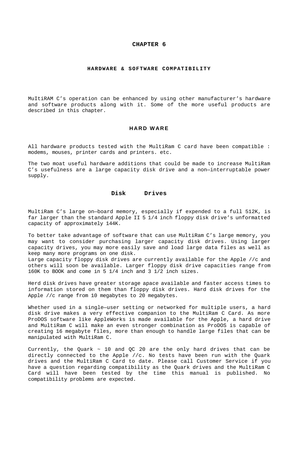#### **CHAPTER 6**

#### **HARDWARE & SOFTWARE COMPATIBILITY**

MuItiRAM C's operation can be enhanced by using other manufacturer's hardware and software products along with it. Some of the more useful products are described in this chapter.

#### **HARD WARE**

All hardware products tested with the MultiRam C card have been compatible : modems, mouses, printer cards and printers. etc.

The two moat useful hardware additions that could be made to increase MultiRam C's usefulness are a large capacity disk drive and a non—interruptable power supply.

#### **Disk Drives**

MultiRam C's large on—board memory, especially if expended to a full 512K, is far larger than the standard Apple II 5 1/4 inch floppy disk drive's unformatted capacity of approximately 144K.

To better take advantage of software that can use MultiRam C's large memory, you may want to consider purchasing larger capacity disk drives. Using larger capacity drives, you may more easily save and load large data files as well as keep many more programs on one disk.

Large capacity floppy disk drives are currently available for the Apple //c and others will soon be available. Larger floppy disk drive capacities range from 160K to BOOK and come in 5 1/4 inch and 3 1/2 inch sizes.

Herd disk drives have greater storage apace available and faster access times to information stored on them than floppy disk drives. Hard disk drives for the Apple //c range from 10 megabytes to 20 megabytes.

Whether used in a single—user setting or networked for multiple users, a hard disk drive makes a very effective companion to the MultiRam C Card. As more ProDOS software like AppleWorks is made available for the Apple, a hard drive and MultiRam C will make an even stronger combination as ProDOS is capable of creating 16 megabyte files, more than enough to handle large files that can be manipulated with MultiRam C.

Currently, the Quark  $\sim$  10 and QC 20 are the only hard drives that can be directly connected to the Apple //c. No tests have been run with the Quark drives and the MultiRam C Card to date. Please call Customer Service if you have a question regarding compatibility as the Quark drives and the MultiRam C Card will have been tested by the time this manual is published. No compatibility problems are expected.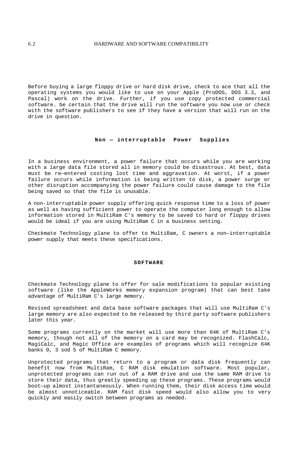Before buying a large floppy drive or hard disk drive, check to ace that all the operating systems you would like to use on your Apple (ProDOS, DOS 3.3, and Pascal) work on the drive. Further, if you use copy protected commercial software. be certain that the drive will run the software you now use or check with the software publishers to see if they have a version that will run on the drive in question.

## **Non — interruptable Power Supplies**

In a business environment, a power failure that occurs while you are working with a large data file stored all in memory could be disastrous. At best, data must be re—entered costing lost time and aggravation. At worst, if a power failure occurs while information is being written to disk, a power surge or other disruption accompanying the power failure could cause damage to the file being saved so that the file is unusable.

A non-interruptable power supply offering quick response time to a loss of power as well as having sufficient power to operate the computer long enough to allow information stored in MultiRam C's memory to be saved to hard or floppy drives would be ideal if you are using MultiRam C in a business setting.

Checkmate Technology plane to offer to MultiRam, C owners a non—interruptable power supply that meets these specifications.

### **SOFTWARE**

Checkmate Technology plane to offer for sale modifications to popular existing software (like the AppleWorks memory expansion program) that can best take advantage of MultiRam C's large memory.

Revised spreadsheet and data base software packages that will use MultiRam C's large memory are also expected to be released by third party software publishers later this year.

Some programs currently on the market will use more than 64K of MultiRam C's memory, though not all of the memory on a card may be recognized. FlashCalc, MagiCalc, and Magic Office are examples of programs which will recognize 64K banks 0, 3 sod 5 of MultiRam C memory.

Unprotected programs that return to a program or data disk frequently can benefit now from MultiRam, C RAM disk emulation software. Most popular, unprotected programs can run out of a RAM drive and use the same RAM drive to store their data, thus greatly speeding up these programs. These programs would boot—up almost instantaneously. When running them, their disk access time would be almost unnoticeable. RAM fast disk speed would also allow you to very quickly and easily switch between programs as needed.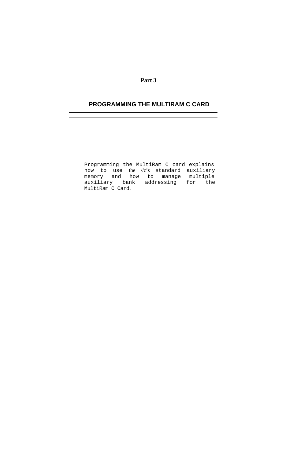## **Part 3**

# **PROGRAMMING THE MULTIRAM C CARD**

Programming the MultiRam C card explains how to use the //c's standard auxiliary memory and how to manage multiple auxiliary bank addressing for the MultiRam C Card.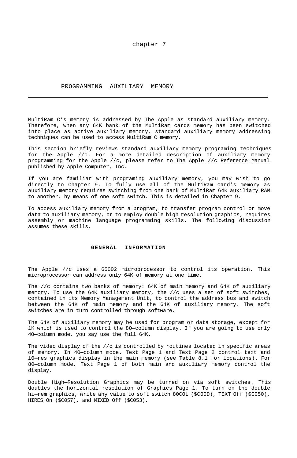### chapter 7

#### PROGRAMMING AUXILIARY MEMORY

MultiRam C's memory is addressed by The Apple as standard auxiliary memory. Therefore, when any 64K bank of the MultiRam cards memory has been switched into place as active auxiliary memory, standard auxiliary memory addressing techniques can be used to access MultiRam C memory.

This section briefly reviews standard auxiliary memory programing techniques for the Apple //c. For a more detailed description of auxiliary memory programming for the Apple //c, please refer to The Apple //c Reference Manual published by Apple Computer, Inc.

If you are familiar with programing auxiliary memory, you may wish to go directly to Chapter 9. To fully use all of the MultiRam card's memory as auxiliary memory requires switching from one bank of MultiRam 64K auxiliary RAM to another, by means of one soft switch. This is detailed in Chapter 9.

To access auxiliary memory from a program, to transfer program control or move data to auxiliary memory, or to employ double high resolution graphics, requires assembly or machine language programming skills. The following discussion assumes these skills.

#### **GENERAL INFORMATION**

The Apple //c uses a 65C02 microprocessor to control its operation. This microprocessor can address only 64K of memory at one time.

The //c contains two banks of memory: 64K of main memory and 64K of auxiliary memory. To use the 64K auxiliary memory, the //c uses a set of soft switches, contained in its Memory Management Unit, to control the address bus and switch between the 64K of main memory and the 64K of auxiliary memory. The soft switches are in turn controlled through software.

The 64K of auxiliary memory may be used for program or data storage, except for 1K which is used to control the 8O—column display. If you are going to use only 4O—column mode, you say use the full 64K.

The video display of the //c is controlled by routines located in specific areas of memory. In 4O—column mode. Text Page 1 and Text Page 2 control text and l0—res graphics display in the main memory (see Table 8.1 for locations). For 80—column mode, Text Page 1 of both main and auxiliary memory control the display.

Double High—Resolution Graphics may be turned on via soft switches. This doubles the horizontal resolution of Graphics Page 1. To turn on the double hi—rem graphics, write any value to soft switch 80COL (\$C00D), TEXT Off (\$C050), HIRES On (\$C057). and MIXED Off (\$C053).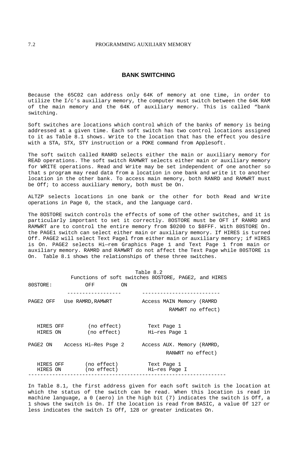## **BANK SWITCHING**

Because the 65C02 can address only 64K of memory at one time, in order to utilize the I/c's auxiliary memory, the computer must switch between the 64K RAM of the main memory and the 64K of auxiliary memory. This is called "bank switching.

Soft switches are locations which control which of the banks of memory is being addressed at a given time. Each soft switch has two control locations assigned to it as Table 8.1 shows. Write to the location that has the effect you desire with a STA, STX, STY instruction or a POKE command from Applesoft.

The soft switch called RANRD selects either the main or auxiliary memory for READ operations. The soft switch RAMWRT selects either main or auxiliary memory for WRITE operations. Read and Write may be set independent of one another so that s program may read data from a location in one bank and write it to another location in the other bank. To access main memory, both RANRD and RAMWRT must be Off; to access auxiliary memory, both must be On.

ALTZP selects locations in one bank or the other for both Read and Write operations in Page 0, the stack, and the language card.

The 8OSTORE switch controls the effects of some of the other switches, and it is particularly important to set it correctly. 8OSTORE must be OFT if RANRD and RAMWRT are to control the entire memory from \$0200 to \$8FFF. With 80STORE On. the PAGE1 switch can select either main or auxiliary memory. If HIRES is turned Off. PAGE2 will select Text Pagel from either main or auxiliary memory; if HIRES is On. PAGE2 selects Hi—rem Graphics Page 1 and Text Page 1 from main or auxiliary memory. RAMRD and RAMWRT do not affect the Text Page while 80STORE is On. Table 8.1 shows the relationships of these three switches.

|           |                               |                                                      |    | Table 8.2 |                            |                   |  |
|-----------|-------------------------------|------------------------------------------------------|----|-----------|----------------------------|-------------------|--|
|           |                               | Functions of soft switches 80STORE, PAGE2, and HIRES |    |           |                            |                   |  |
| 80STORE:  |                               | OFF                                                  | ON |           |                            |                   |  |
|           |                               | -----------                                          |    |           |                            |                   |  |
|           | PAGE2 OFF Use RAMRD, RAMWRT   |                                                      |    |           | Access MAIN Memory (RAMRD  |                   |  |
|           |                               |                                                      |    |           |                            | RAMWRT no effect) |  |
|           |                               |                                                      |    |           |                            |                   |  |
| HIRES OFF |                               | (no effect)                                          |    |           | Text Page 1                |                   |  |
| HIRES ON  |                               | (no effect)                                          |    |           | Hi-res Page 1              |                   |  |
|           |                               |                                                      |    |           |                            |                   |  |
|           | PAGE2 ON Access Hi—Res Psge 2 |                                                      |    |           | Access AUX. Memory (RAMRD, |                   |  |
|           |                               |                                                      |    |           |                            | RANWRT no effect) |  |
| HIRES OFF |                               | (no effect)                                          |    |           | Text Page 1                |                   |  |
| HIRES ON  |                               | (no effect)                                          |    |           | Hi-res Page I              |                   |  |
|           |                               |                                                      |    |           |                            |                   |  |

In Table 8.1, the first address given for each soft switch is the location at which the status of the switch can be read. When this location is read in machine language, a 0 (aero) in the high bit (7) indicates the switch is Off, a 1 shows the switch is On. If the location is read from BASIC, a value 0f 127 or less indicates the switch Is Off, 128 or greater indicates On.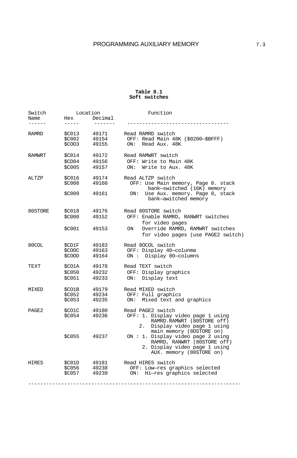# **Table 8.1 Soft switches**

| Switch<br>Name    | Hex<br>-----                      | Location<br>Decimal     | Function                                                                                                                                                    |
|-------------------|-----------------------------------|-------------------------|-------------------------------------------------------------------------------------------------------------------------------------------------------------|
|                   |                                   |                         |                                                                                                                                                             |
| RAMRD             | \$C013<br>\$C002<br>\$COO3        | 49171<br>49154<br>49155 | Read RAMRD switch<br>OFF: Read Main 48K (\$0200-\$BFFF)<br>ON:<br>Read Aux. 48K                                                                             |
| <b>RAMWRT</b>     | \$C014<br>\$CD04<br>\$C005        | 49172<br>49156<br>49157 | Read RAMWRT switch<br>OFF: Write to Main 48K<br>Write to Aux. 48K<br>ON:                                                                                    |
| ALTZP             | \$C016<br><b>\$C008</b><br>\$C009 | 49174<br>49160<br>49161 | Read ALTZP switch<br>OFF: Use Main memory, Page 0. stack<br>bank-switched (16K) memory<br>Use Aux. memory. Page 0, stack<br>ON:<br>bank-awitched memory     |
| 80STORE           | <b>\$C018</b><br>\$C000<br>\$C001 | 49176<br>49152<br>49153 | Read 80STORE switch<br>OFF: Enable RAMRD, RANWRT switches<br>for video pages<br>Override RAMRD, RAMWRT switches<br>ON<br>for video pages (use PAGE2 switch) |
| 80COL             | \$CD1F<br>\$COOC<br>\$COOD        | 49183<br>49163<br>49164 | Read 80COL switch<br>OFF: Display 40-colunma<br>Display 80-columns<br>ON:                                                                                   |
| TEXT              | \$CO1A<br>\$C050<br><b>\$C051</b> | 49178<br>49232<br>49233 | Read TEXT switch<br>OFF: Display graphics<br>Display text<br>ON:                                                                                            |
| MIXED             | \$CO1B<br><b>SC052</b><br>\$C053  | 49179<br>49234<br>49235 | Read MIXED switch<br>OFF: Full graphics<br>Mixed text and graphics<br>ON:                                                                                   |
| PAGE <sub>2</sub> | \$CO1C<br><b>SC054</b>            | 49180<br>49236          | Read PAGE2 switch<br>OFF: 1. Display video page 1 using<br>RAMRD.RAMWRT (80STORE off)<br>2.<br>Display video page 1 using<br>main memory (80STORE on)       |
|                   | \$C055                            | 49237                   | ON : 1. Display video page 2 using<br>RAMRD, RANWRT (80STORE off)<br>2. Display video page 1 using<br>AUX. memory (80STORE on)                              |
| HIRES             | \$C01D<br>\$C056<br><b>SC057</b>  | 49181<br>49238<br>49239 | Read HIRES switch<br>OFF: Low-res graphics selected<br>Hi-res graphics selected<br>ON:                                                                      |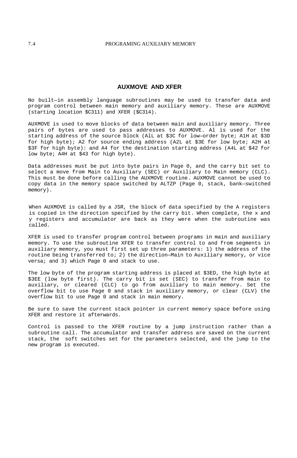# **AUXMOVE AND XFER**

No built—in assembly language subroutines may be used to transfer data and program control between main memory and auxiliary memory. These are AUXMOVE (starting location \$C311) and XFER (\$C314).

AUXMOVE is used to move blocks of data between main and auxiliary memory. Three pairs of bytes are used to pass addresses to AUXMOVE. Al is used for the starting address of the source block (AlL at \$3C for low—order byte; A1H at \$3D for high byte); A2 for source ending address (A2L at \$3E for low byte; A2H at \$3F for high byte): and A4 for the destination starting address (A4L at \$42 for low byte; A4H at \$43 for high byte).

Data addresses must be put into byte pairs in Page 0, and the carry bit set to select a move from Main to Auxiliary (SEC) or Auxiliary to Main memory (CLC). This must be done before calling the AUXMOVE routine. AUXMOVE cannot be used to copy data in the memory space switched by ALTZP (Page 0, stack, bank—switched memory).

When AUXMOVE is called by a JSR, the block of data specified by the A registers is copied in the direction specified by the carry bit. When complete, the x and y registers and accumulator are back as they were when the subroutine was called.

XFER is used to transfer program control between programs in main and auxiliary memory. To use the subroutine XFER to transfer control to and from segments in auxiliary memory, you must first set up three parameters: 1) the address of the routine being transferred to; 2) the direction—Main to Auxiliary memory, or vice versa; and 3) which Page 0 and stack to use.

The low byte of the program starting address is placed at \$3ED, the high byte at \$3EE (low byte first). The carry bit is set (SEC) to transfer from main to auxiliary, or cleared (CLC) to go from auxiliary to main memory. Set the overflow bit to use Page 0 and stack in auxiliary memory, or clear (CLV) the overflow bit to use Page 0 and stack in main memory.

Be sure to save the current stack pointer in current memory space before using XFER and restore it afterwards.

Control is passed to the XFER routine by a jump instruction rather than a subroutine call. The accumulator and transfer address are saved on the current stack, the soft switches set for the parameters selected, and the jump to the new program is executed.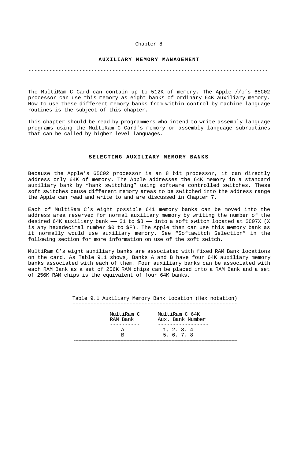#### Chapter 8

### **AUXILIARY MEMORY MANAGEMENT**

#### --------------------------------------------------------------------------------

The MultiRam C Card can contain up to 512K of memory. The Apple //c's 65C02 processor can use this memory as eight banks of ordinary 64K auxiliary memory. How to use these different memory banks from within control by machine language routines is the subject of this chapter.

This chapter should be read by programmers who intend to write assembly language programs using the MultiRam C Card's memory or assembly language subroutines that can be called by higher level languages.

### **SELECTING AUXILIARY MEMORY BANKS**

Because the Apple's 65C02 processor is an 8 bit processor, it can directly address only 64K of memory. The Apple addresses the 64K memory in a standard auxiliary bank by "hank switching" using software controlled switches. These soft switches cause different memory areas to be switched into the address range the Apple can read and write to and are discussed in Chapter 7.

Each of MultiRam C's eight possible 641 memory banks can be moved into the address area reserved for normal auxiliary memory by writing the number of the desired 64K auxiliary bank  $-$  \$1 to \$8  $-$  into a soft switch located at \$C07X (X is any hexadecimal number \$0 to \$F). The Apple then can use this memory bank as it normally would use auxiliary memory. See "Softawitch Selection" in the following section for more information on use of the soft switch.

MultiRam C's eight auxiliary banks are associated with fixed RAM Bank locations on the card. As Table 9.1 shows, Banks A and B have four 64K auxiliary memory banks associated with each of them. Four auxiliary banks can be associated with each RAM Bank as a set of 256K RAM chips can be placed into a RAM Bank and a set of 256K RAM chips is the equivalent of four 64K banks.

> Table 9.1 Auxiliary Memory Bank Location (Hex notation) -------------------------------------------------------

| MultiRam C<br>RAM Bank | MultiRam C 64K<br>Aux. Bank Number |
|------------------------|------------------------------------|
|                        |                                    |
|                        | 1, 2, 3, 4                         |
|                        | 5.6.7.8                            |
|                        |                                    |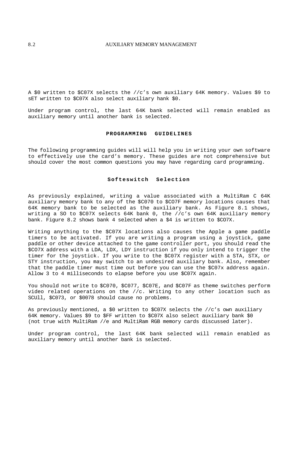## 8.2 **AUXILIARY MEMORY MANAGEMENT**

A \$0 written to \$C07X selects the //c's own auxiliary 64K memory. Values \$9 to sET written to \$C07X also select auxiliary hank \$0.

Under program control, the last 64K bank selected will remain enabled as auxiliary memory until another bank is selected.

## **PROGRAMMING GUIDELINES**

The following programming guides will will help you in writing your own software to effectively use the card's memory. These guides are not comprehensive but should cover the most common questions you may have regarding card programming.

#### **Softeswitch Selection**

As previously explained, writing a value associated with a MultiRam C 64K auxiliary memory bank to any of the \$C070 to \$CO7F memory locations causes that 64K memory bank to be selected as the auxiliary bank. As Figure 8.1 shows, writing a SO to \$C07X selects 64K bank 0, the //c's own 64K auxiliary memory bank. Figure 8.2 shows bank 4 selected when a \$4 is written to \$CO7X.

Writing anything to the \$C07X locations also causes the Apple a game paddle timers to be activated. If you are writing a program using a joystick, game paddle or other device attached to the game controller port, you should read the \$CO7X address with a LDA, LDX, LDY instruction if you only intend to trigger the timer for the joystick. If you write to the \$C07X register with a STA, STX, or STY instruction, you may switch to an undesired auxiliary bank. Also, remember that the paddle timer must time out before you can use the \$C07x address again. Allow 3 to 4 milliseconds to elapse before you use \$C07X again.

You should not write to \$C070, \$C077, \$C07E, and \$C07F as theme switches perform video related operations on the //c. Writing to any other location such as SCUll, \$C073, or \$0078 should cause no problems.

As previously mentioned, a \$0 written to \$C07X selects the //c's own auxiliary 64K memory. Values \$9 to \$FF written to \$C07X also select auxiliary bank \$0 (not true with MultiRam //e and MultiRam RGB memory cards discussed later).

Under program control, the last 64K bank selected will remain enabled as auxiliary memory until another bank is selected.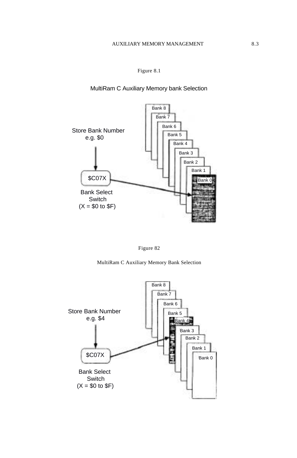MultiRam C Auxiliary Memory bank Selection





MultiRam C Auxiliary Memory Bank Selection

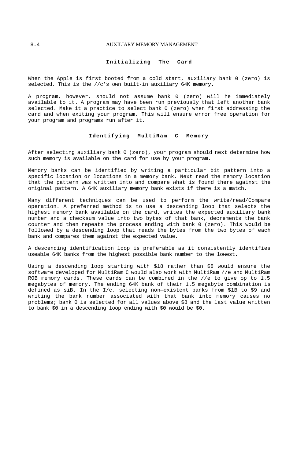### 8.4 AUXILIARY MEMORY MANAGEMENT

#### **Initializing The Card**

When the Apple is first booted from a cold start, auxiliary bank 0 (zero) is selected. This is the //c's own built-in auxiliary 64K memory.

A program, however, should not assume bank 0 (zero) will he immediately available to it. A program may have been run previously that left another bank selected. Make it a practice to select bank 0 (zero) when first addressing the card and when exiting your program. This will ensure error free operation for your program and programs run after it.

## **Identifying MultiRam C Memory**

After selecting auxiliary bank 0 (zero), your program should next determine how such memory is available on the card for use by your program.

Memory banks can be identified by writing a particular bit pattern into a specific location or locations in a memory bank. Next read the memory location that the pattern was written into and compare what is found there against the original pattern. A 64K auxiliary memory bank exists if there is a match.

Many different techniques can be used to perform the write/read/Compare operation. A preferred method is to use a descending loop that selects the highest memory bank available on the card, writes the expected auxiliary bank number and a checksum value into two bytes of that bank, decrements the bank counter and then repeats the process ending with bank 0 (zero). This would be followed by a descending loop that reads the bytes from the two bytes of each bank and compares them against the expected value.

A descending identification loop is preferable as it consistently identifies useable 64K banks from the highest possible bank number to the lowest.

Using a descending loop starting with \$18 rather than \$8 would ensure the software developed for MultiRam C would also work with MultiRam //e and MultiRam ROB memory cards. These cards can be combined in the //e to give op to 1.5 megabytes of memory. The ending 64K bank of their 1.5 megabyte combination is defined as siB. In the I/c. selecting non—existent banks from \$1B to \$9 and writing the bank number associated with that bank into memory causes no problems; bank 0 is selected for all values above \$8 and the last value written to bank \$0 in a descending loop ending with \$0 would be \$0.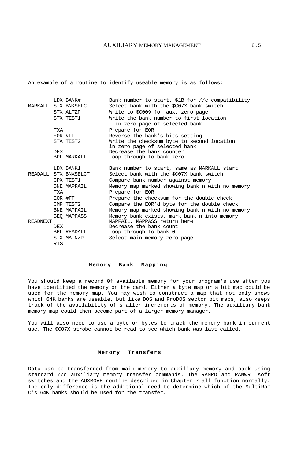## AUXILIARY MEMORY MANAGEMENT 8.5

An example of a routine to identify useable memory is as follows:

|                                                 |            | LDX BANK#            | Bank number to start. \$1B for //e compatibility |
|-------------------------------------------------|------------|----------------------|--------------------------------------------------|
|                                                 |            | MARKALL STX BNKSELCT | Select bank with the \$C07X bank switch          |
|                                                 |            | STX ALTZP            | Write to \$C009 for aux. zero page               |
|                                                 |            | STX TEST1            | Write the bank number to first location          |
|                                                 |            |                      | in zero page of selected bank                    |
|                                                 | TXA        |                      | Prepare for EOR                                  |
|                                                 |            | EOR #FF              | Reverse the bank's bits setting                  |
|                                                 |            | STA TEST2            | Write the checksum byte to second location       |
|                                                 |            |                      | in zero page of selected bank                    |
|                                                 | <b>DEX</b> |                      | Decrease the bank counter                        |
|                                                 |            | BPL MARKALL          | Loop through to bank zero                        |
|                                                 |            | LDX BANK1            | Bank number to start, same as MARKALL start      |
|                                                 |            | READALL STX BNXSELCT | Select bank with the \$C07X bank switch          |
|                                                 |            | CPX TEST1            | Compare bank number against memory               |
|                                                 |            | BNE MAPFAIL          | Memory map marked showing bank n with no memory  |
|                                                 | TXA        |                      | Prepare for EOR                                  |
|                                                 |            | EOR #FF              | Prepare the checksum for the double check        |
|                                                 |            | CMP TEST2            | Compare the EOR'd byte for the double check      |
|                                                 |            | BNE MAPFAIL          | Memory map marked showing bank n with no memory  |
|                                                 |            | BEO MAPPASS          | Memory bank exists, mark bank n into memory      |
| MAPFAIL, MAPPASS return here<br><b>READNEXT</b> |            |                      |                                                  |
|                                                 | <b>DEX</b> |                      | Decrease the bank count                          |
|                                                 |            | BPL READALL          | Loop through to bank 0                           |
|                                                 |            | STX MAINZP           | Select main memory zero page                     |
|                                                 | <b>RTS</b> |                      |                                                  |

### **Memory Bank Mapping**

You should keep a record 0f available memory for your program's use after you have identified the memory on the card. Either a byte map or a bit map could be used for the memory map. You may wish to construct a map that not only shows which 64K banks are useable, but like DOS and ProDOS sector bit maps, also keeps track of the availability of smaller increments of memory. The auxiliary bank memory map could then become part of a larger memory manager.

You will also need to use a byte or bytes to track the memory bank in current use. The \$CO7X strobe cannot be read to see which bank was last called.

### **Memory Transfers**

Data can be transferred from main memory to auxiliary memory and back using standard //c auxiliary memory transfer commands. The RAMRD and RANWRT soft switches and the AUXMOVE routine described in Chapter 7 all function normally. The only difference is the additional need to determine which of the MultiRam C's 64K banks should be used for the transfer.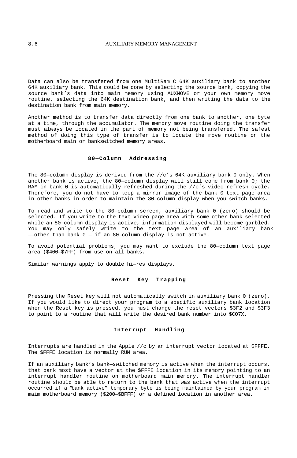Data can also be transfered from one MultiRam C 64K auxiliary bank to another 64K auxiliary bank. This could be done by selecting the source bank, copying the source bank's data into main memory using AUXMOVE or your own memory move routine, selecting the 64K destination bank, and then writing the data to the destination bank from main memory.

Another method is to transfer data directly from one bank to another, one byte at a time, through the accumulator. The memory move routine doing the transfer must always be located in the part of memory not being transfered. The safest method of doing this type of transfer is to locate the move routine on the motherboard main or bankswitched memory areas.

#### **80—Column Addressing**

The 80—column display is derived from the //c's 64K auxiliary bank 0 only. When another bank is active, the 80—column display will still come from bank 0; the RAM in bank 0 is automatically refreshed during the //c's video refresh cycle. Therefore, you do not have to keep a mirror image of the bank 0 text page area in other banks in order to maintain the 80—column display when you switch banks.

To read and write to the 80-column screen, auxiliary bank 0 (zero) should be selected. If you write to the text video page area with some other bank selected while an 80-column display is active, information displayed will become garbled. You may only safely write to the text page area of an auxiliary bank ——other than bank 0 — if an 80—column display is not active.

To avoid potential problems, you may want to exclude the 80—column text page area (\$400—\$7FF) from use on all banks.

Similar warnings apply to double hi—res displays.

## **Reset Key Trapping**

Pressing the Reset key will not automatically switch in auxiliary bank 0 (zero). If you would like to direct your program to a specific auxiliary bank location when the Reset key is pressed, you must change the reset vectors \$3F2 and \$3F3 to point to a routine that will write the desired bank number into \$CO7X.

## **Interrupt Handling**

Interrupts are handled in the Apple //c by an interrupt vector located at \$FFFE. The \$FFFE location is normally RUM area.

If an auxiliary bank's bank—switched memory is active when the interrupt occurs, that bank most have a vector at the \$FFFE location in its memory pointing to an interrupt handler routine on motherboard main memory. The interrupt handler routine should be able to return to the bank that was active when the interrupt occurred if a "bank active" temporary byte is being maintained by your program in maim motherboard memory (\$200—\$BFFF) or a defined location in another area.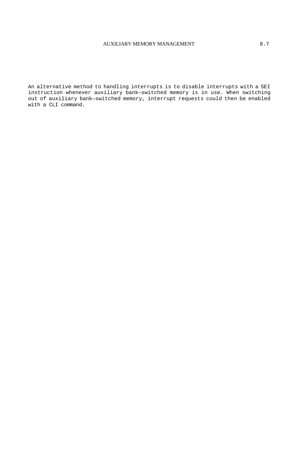# AUXILIARY MEMORY MANAGEMENT 8.7

An alternative method to handling interrupts is to disable interrupts with a SEI instruction whenever auxiliary bank—switched memory is in use. When switching out of auxiliary bank—switched memory, interrupt requests could then be enabled with a CLI command.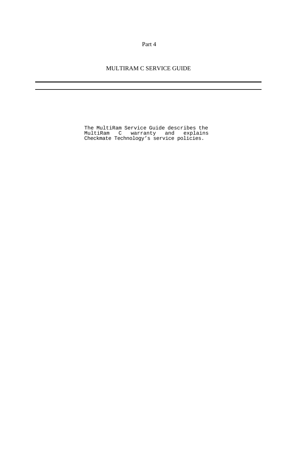Part 4

MULTIRAM C SERVICE GUIDE

The MultiRam Service Guide describes the MultiRam C warranty and explains Checkmate Technology's service policies.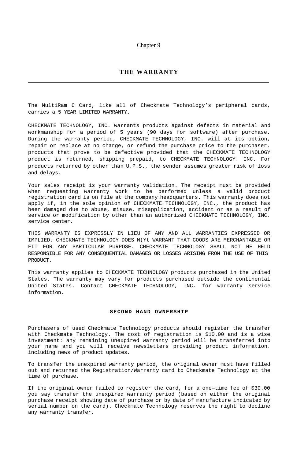### Chapter 9

# **THE WARRANTY**

The MultiRam C Card, like all of Checkmate Technology's peripheral cards, carries a 5 YEAR LIMITED WARRANTY.

CHECKMATE TECHNOLOGY, INC. warrants products against defects in material and workmanship for a period of 5 years (90 days for software) after purchase. During the warranty period, CHECKMATE TECHNOLOGY, INC. will at its option, repair or replace at no charge, or refund the purchase price to the purchaser, products that prove to be defective provided that the CHECKMATE TECHNOLOGY product is returned, shipping prepaid, to CHECKMATE TECHNOLOGY. INC. For products returned by other than U.P.S., the sender assumes greater risk of loss and delays.

Your sales receipt is your warranty validation. The receipt must be provided when requesting warranty work to be performed unless a valid product registration card is on file at the company headquarters. This warranty does not apply if, in the sole opinion of CHECKMATE TECHNOLOGY, INC., the product has been damaged due to abuse, misuse, misapplication, accident or as a result of service or modification by other than an authorized CHECKMATE TECHNOLOGY, INC. service center.

THIS WARRANTY IS EXPRESSLY IN LIEU OF ANY AND ALL WARRANTIES EXPRESSED OR IMPLIED. CHECKMATE TECHNOLOGY DOES N(Yt WARRANT THAT GOODS ARE MERCHANTABLE OR FIT FOR ANY PARTICULAR PURPOSE. CHECKMATE TECHNOLOGY SHALL NOT HE HELD RESPONSIBLE FOR ANY CONSEQUENTIAL DAMAGES OR LOSSES ARISING FROM THE USE OF THIS PRODUCT.

This warranty applies to CHECKMATE TECHNOLOGY products purchased in the United States. The warranty may vary for products purchased outside the continental United States. Contact CHECKMATE TECHNOLOGY, INC. for warranty service information.

## **SECOND HAND OWNERSHIP**

Purchasers of used Checkmate Technology products should register the transfer with Checkmate Technology. The cost of registration is \$10.00 and is a wise investment: any remaining unexpired warranty period will be transferred into your name and you will receive newsletters providing product information. including news of product updates.

To transfer the unexpired warranty period, the original owner must have filled out and returned the Registration/Warranty card to Checkmate Technology at the time of purchase.

If the original owner failed to register the card, for a one—time fee of \$30.00 you say transfer the unexpired warranty period (based on either the original purchase receipt showing date of purchase or by date of manufacture indicated by serial number on the card). Checkmate Technology reserves the right to decline any warranty transfer.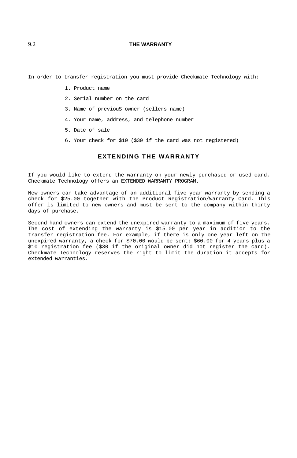## 9.2 **THE WARRANTY**

In order to transfer registration you must provide Checkmate Technology with:

- 1. Product name
- 2. Serial number on the card
- 3. Name of previouS owner (sellers name)
- 4. Your name, address, and telephone number
- 5. Date of sale
- 6. Your check for \$10 (\$30 if the card was not registered)

# **EXTENDING THE WARRANTY**

If you would like to extend the warranty on your newly purchased or used card, Checkmate Technology offers an EXTENDED WARRANTY PROGRAM.

New owners can take advantage of an additional five year warranty by sending a check for \$25.00 together with the Product Registration/Warranty Card. This offer is limited to new owners and must be sent to the company within thirty days of purchase.

Second hand owners can extend the unexpired warranty to a maximum of five years. The cost of extending the warranty is \$15.00 per year in addition to the transfer registration fee. For example, if there is only one year left on the unexpired warranty, a check for \$70.00 would be sent: \$60.00 for 4 years plus a \$10 registration fee (\$30 if the original owner did not register the card). Checkmate Technology reserves the right to limit the duration it accepts for extended warranties.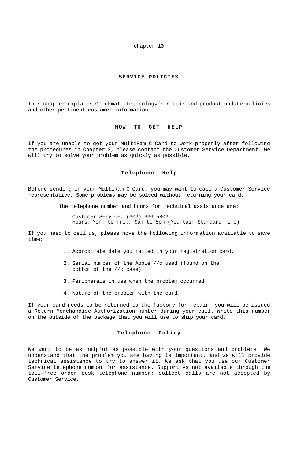chapter 10

### **SERVICE POLICIES**

This chapter explains Checkmate Technology's repair and product update policies and other pertinent customer information.

### **HOW TO GET HELP**

If you are unable to get your MultiRam C Card to work properly after following the procedures in Chapter 3, please contact the Customer Service Department. We will try to solve your problem as quickly as possible.

## **Telephone Help**

Before sending in your MultiRam C Card, you may want to call a Customer Service representative. Some problems may be solved without returning your card.

The telephone number and hours for technical assistance are:

Customer Service: (602) 966—5802 Hours: Mon. to Fri., 9am to 5pm (Mountain Standard Time)

If you need to cell us, please hove the following information available to save time:

- 1. Approximate date you mailed in your registration card.
- 2. Serial number of the Apple //c used (found on the bottom of the //c case).
- 3. Peripherals in use when the problem occurred.
- 4. Nature of the problem with the card.

If your card needs to be returned to the factory for repair, you will be issued a Return Merchandise Authorization number during your call. Write this number on the outside of the package that you will use to ship your card.

## **Telephone Policy**

We want to be as helpful as possible with your questions and problems. We understand that the problem you are having is important, and we will provide technical assistance to try to answer it. We ask that you use our Customer Service telephone number for assistance. Support vs not available through the toll—free order desk telephone number; collect calls are not accepted by Customer Service.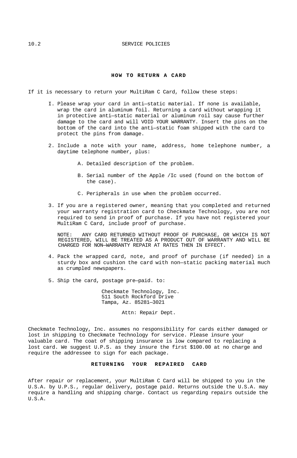## **HOW TO RETURN A CARD**

- If it is necessary to return your MultiRam C Card, follow these steps:
	- I. Please wrap your card in anti—static material. If none is available, wrap the card in aluminum foil. Returning a card without wrapping it in protective anti—static material or aluminum roil say cause further damage to the card and will VOID YOUR WARRANTY. Insert the pins on the bottom of the card into the anti—static foam shipped with the card to protect the pins from damage.
	- 2. Include a note with your name, address, home telephone number, a daytime telephone number, plus:
		- A. Detailed description of the problem.
		- B. Serial number of the Apple /Ic used (found on the bottom of the case).
		- C. Peripherals in use when the problem occurred.
	- 3. If you are a registered owner, meaning that you completed and returned your warranty registration card to Checkmate Technology, you are not required to send in proof of purchase. If you have not registered your MultiRam C Card, include proof of purchase.

NOTE: ANY CARD RETURNED WITHOUT PROOF OF PURCHASE, OR WHICH IS NOT REGISTERED, WILL BE TREATED AS A PRODUCT OUT OF WARRANTY AND WILL BE CHARGED FOR NON—WARRANTY REPAIR AT RATES THEN IN EFFECT.

- 4. Pack the wrapped card, note, and proof of purchase (if needed) in a sturdy box and cushion the card with non—static packing material much as crumpled newspapers.
- 5. Ship the card, postage pre—paid. to:

Checkmate Technology, Inc. 511 South Rockford Drive Tampa, Az. 85281—3021

Attn: Repair Dept.

Checkmate Technology, Inc. assumes no responsibility for cards either damaged or lost in shipping to Checkmate Technology for service. Please insure your valuable card. The coat of shipping insurance is low compared to replacing a lost card. We suggest U.P.S. as they insure the first \$100.00 at no charge and require the addressee to sign for each package.

## **RETURNING YOUR REPAIRED CARD**

After repair or replacement, your MultiRam C Card will be shipped to you in the U.S.A. by U.P.S., regular delivery, postage paid. Returns outside the U.S.A. may require a handling and shipping charge. Contact us regarding repairs outside the U.S.A.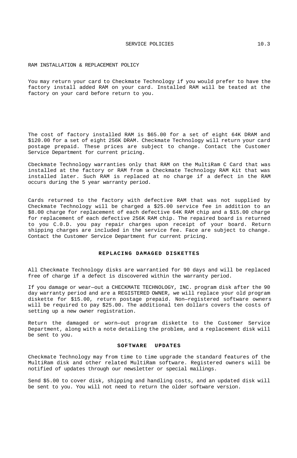#### RAM INSTALLATION & REPLACEMENT POLICY

You may return your card to Checkmate Technology if you would prefer to have the factory install added RAM on your card. Installed RAM will be teated at the factory on your card before return to you.

The cost of factory installed RAM is \$65.00 for a set of eight 64K DRAM and \$120.00 for a set of eight 256K DRAM. Checkmate Technology will return your card postage prepaid. These prices are subject to change. Contact the Customer Service Department for current pricing.

Cbeckmate Technology warranties only that RAM on the MultiRam C Card that was installed at the factory or RAM from a Checkmate Technology RAM Kit that was installed later. Such RAM is replaced at no charge if a defect in the RAM occurs during the 5 year warranty period.

Cards returned to the factory with defective RAM that was not supplied by Checkmate Technology will be charged a \$25.00 service fee in addition to an \$8.00 charge for replacement of each defective 64K RAM chip and a \$15.00 charge for replacement of each defective 256K RAM chip. The repaired board is returned to you C.0.D. you pay repair charges upon receipt of your board. Return shipping charges are included in the service fee. Face are subject to change. Contact the Customer Service Department fur current pricing.

### **REPLACING DAMAGED DISKETTES**

All Checkmate Technology disks are warrantied for 90 days and will be replaced free of charge if a defect is discovered within the warranty period.

If you damage or wear—out a CHECKMATE TECHNOLOGY, INC. program disk after the 90 day warranty period and are a REGISTERED OWNER, we will replace your old program diskette for \$15.00, return postage prepaid. Non—registered software owners will be required to pay \$25.00. The additional ten dollars covers the costs of setting up a new owner registration.

Return the damaged or worn—out program diskette to the Customer Service Department, along with a note detailing the problem, and a replacement disk will be sent to you.

#### **SOFTWARE UPDATES**

Checkmate Technology may from time to time upgrade the standard features of the MultiRam disk and other related MultiRam software. Registered owners will be notified of updates through our newsletter or special mailings.

Send \$5.00 to cover disk, shipping and handling costs, and an updated disk will be sent to you. You will not need to return the older software version.